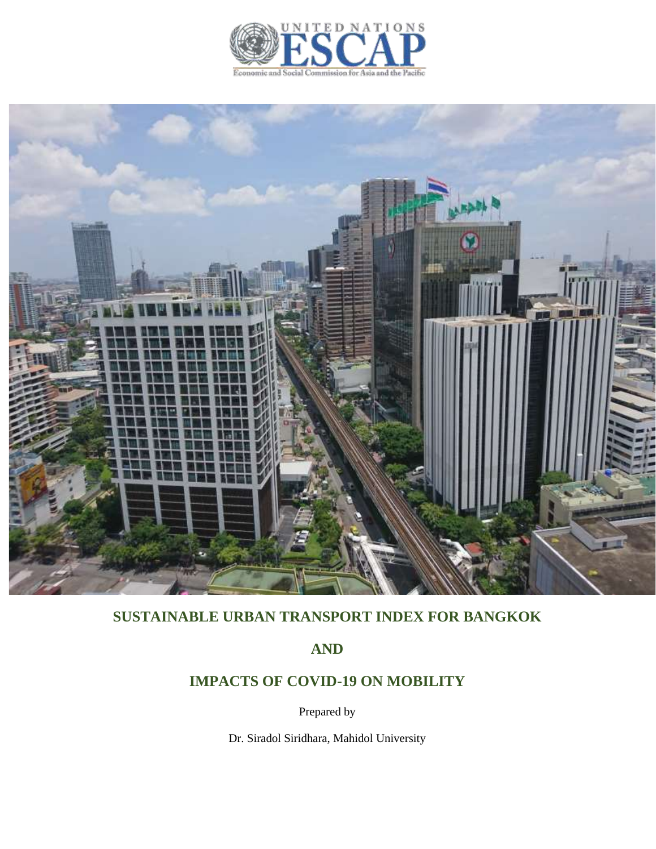



# **SUSTAINABLE URBAN TRANSPORT INDEX FOR BANGKOK**

**AND**

# **IMPACTS OF COVID-19 ON MOBILITY**

Prepared by

Dr. Siradol Siridhara, Mahidol University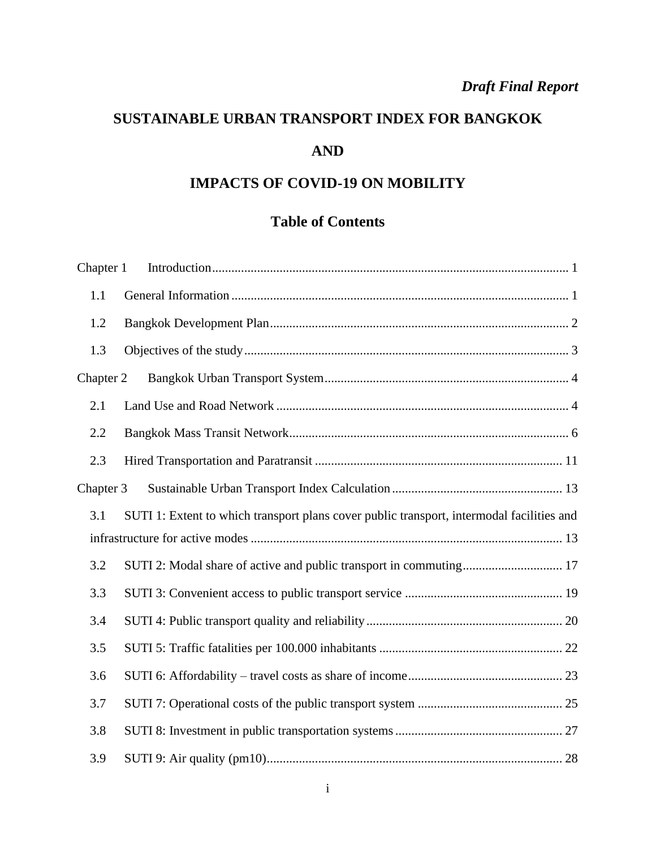# *Draft Final Report*

# **SUSTAINABLE URBAN TRANSPORT INDEX FOR BANGKOK AND**

# **IMPACTS OF COVID-19 ON MOBILITY**

# **Table of Contents**

| Chapter 1 |                                                                                           |
|-----------|-------------------------------------------------------------------------------------------|
| 1.1       |                                                                                           |
| 1.2       |                                                                                           |
| 1.3       |                                                                                           |
| Chapter 2 |                                                                                           |
| 2.1       |                                                                                           |
| 2.2       |                                                                                           |
| 2.3       |                                                                                           |
| Chapter 3 |                                                                                           |
| 3.1       | SUTI 1: Extent to which transport plans cover public transport, intermodal facilities and |
|           |                                                                                           |
| 3.2       |                                                                                           |
| 3.3       |                                                                                           |
| 3.4       |                                                                                           |
| 3.5       |                                                                                           |
| 3.6       |                                                                                           |
| 3.7       |                                                                                           |
| 3.8       |                                                                                           |
| 3.9       |                                                                                           |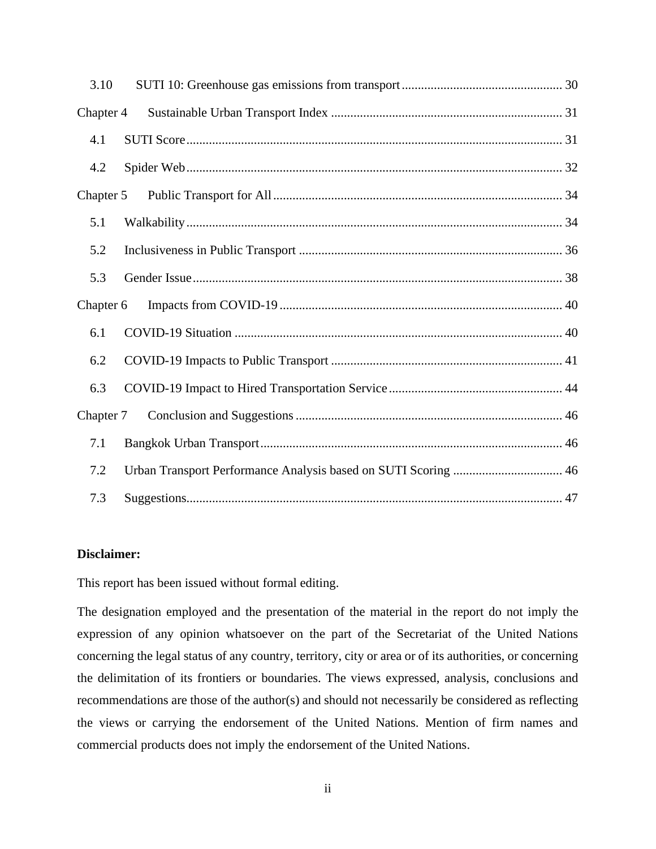| 3.10      |                                                                |  |
|-----------|----------------------------------------------------------------|--|
| Chapter 4 |                                                                |  |
| 4.1       |                                                                |  |
| 4.2       |                                                                |  |
| Chapter 5 |                                                                |  |
| 5.1       |                                                                |  |
| 5.2       |                                                                |  |
| 5.3       |                                                                |  |
| Chapter 6 |                                                                |  |
| 6.1       |                                                                |  |
| 6.2       |                                                                |  |
| 6.3       |                                                                |  |
| Chapter 7 |                                                                |  |
| 7.1       |                                                                |  |
| 7.2       | Urban Transport Performance Analysis based on SUTI Scoring  46 |  |
| 7.3       |                                                                |  |

# **Disclaimer:**

This report has been issued without formal editing.

The designation employed and the presentation of the material in the report do not imply the expression of any opinion whatsoever on the part of the Secretariat of the United Nations concerning the legal status of any country, territory, city or area or of its authorities, or concerning the delimitation of its frontiers or boundaries. The views expressed, analysis, conclusions and recommendations are those of the author(s) and should not necessarily be considered as reflecting the views or carrying the endorsement of the United Nations. Mention of firm names and commercial products does not imply the endorsement of the United Nations.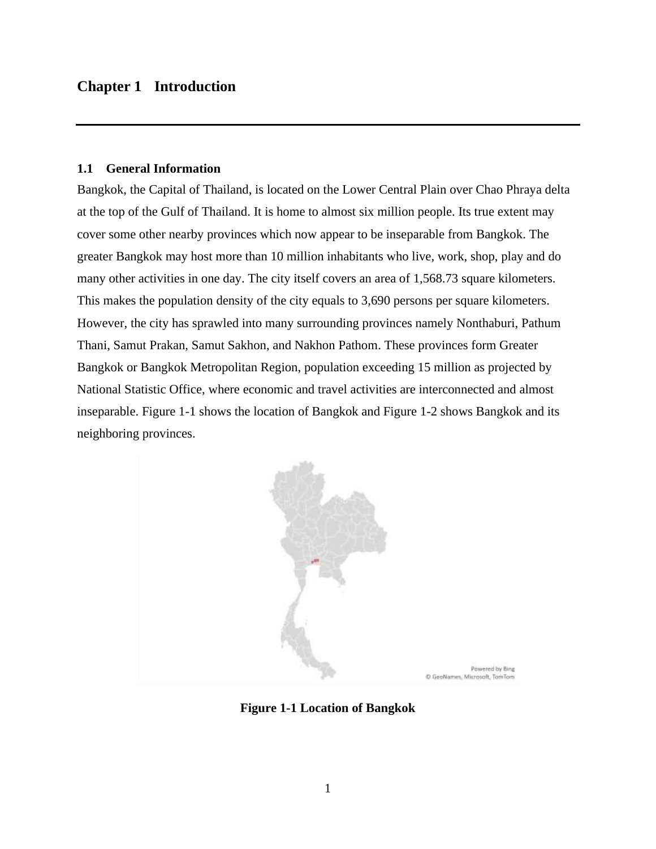# <span id="page-3-0"></span>**Chapter 1 Introduction**

### <span id="page-3-1"></span>**1.1 General Information**

Bangkok, the Capital of Thailand, is located on the Lower Central Plain over Chao Phraya delta at the top of the Gulf of Thailand. It is home to almost six million people. Its true extent may cover some other nearby provinces which now appear to be inseparable from Bangkok. The greater Bangkok may host more than 10 million inhabitants who live, work, shop, play and do many other activities in one day. The city itself covers an area of 1,568.73 square kilometers. This makes the population density of the city equals to 3,690 persons per square kilometers. However, the city has sprawled into many surrounding provinces namely Nonthaburi, Pathum Thani, Samut Prakan, Samut Sakhon, and Nakhon Pathom. These provinces form Greater Bangkok or Bangkok Metropolitan Region, population exceeding 15 million as projected by National Statistic Office, where economic and travel activities are interconnected and almost inseparable. Figure 1-1 shows the location of Bangkok and Figure 1-2 shows Bangkok and its neighboring provinces.



**Figure 1-1 Location of Bangkok**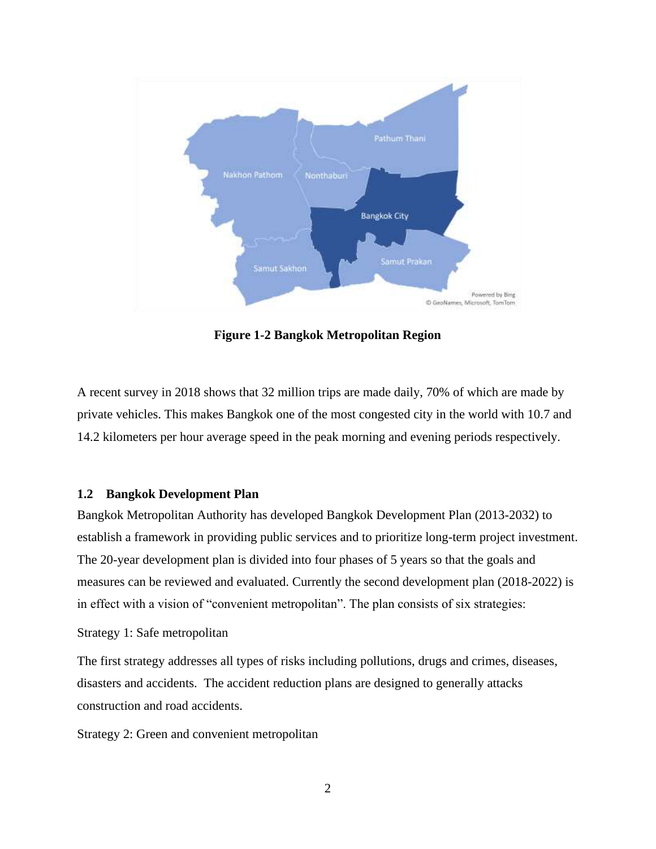

**Figure 1-2 Bangkok Metropolitan Region**

A recent survey in 2018 shows that 32 million trips are made daily, 70% of which are made by private vehicles. This makes Bangkok one of the most congested city in the world with 10.7 and 14.2 kilometers per hour average speed in the peak morning and evening periods respectively.

### <span id="page-4-0"></span>**1.2 Bangkok Development Plan**

Bangkok Metropolitan Authority has developed Bangkok Development Plan (2013-2032) to establish a framework in providing public services and to prioritize long-term project investment. The 20-year development plan is divided into four phases of 5 years so that the goals and measures can be reviewed and evaluated. Currently the second development plan (2018-2022) is in effect with a vision of "convenient metropolitan". The plan consists of six strategies:

### Strategy 1: Safe metropolitan

The first strategy addresses all types of risks including pollutions, drugs and crimes, diseases, disasters and accidents. The accident reduction plans are designed to generally attacks construction and road accidents.

Strategy 2: Green and convenient metropolitan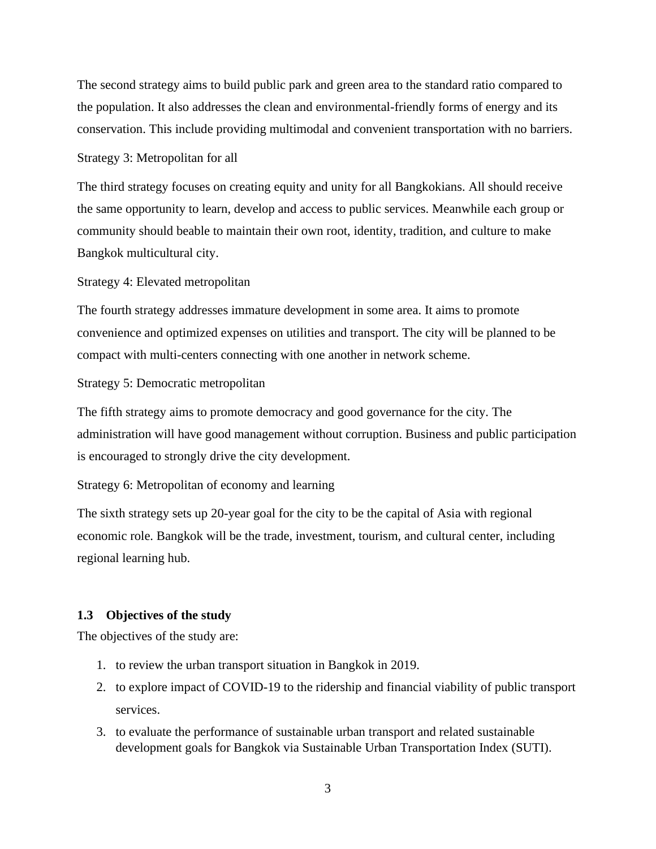The second strategy aims to build public park and green area to the standard ratio compared to the population. It also addresses the clean and environmental-friendly forms of energy and its conservation. This include providing multimodal and convenient transportation with no barriers.

Strategy 3: Metropolitan for all

The third strategy focuses on creating equity and unity for all Bangkokians. All should receive the same opportunity to learn, develop and access to public services. Meanwhile each group or community should beable to maintain their own root, identity, tradition, and culture to make Bangkok multicultural city.

Strategy 4: Elevated metropolitan

The fourth strategy addresses immature development in some area. It aims to promote convenience and optimized expenses on utilities and transport. The city will be planned to be compact with multi-centers connecting with one another in network scheme.

Strategy 5: Democratic metropolitan

The fifth strategy aims to promote democracy and good governance for the city. The administration will have good management without corruption. Business and public participation is encouraged to strongly drive the city development.

Strategy 6: Metropolitan of economy and learning

The sixth strategy sets up 20-year goal for the city to be the capital of Asia with regional economic role. Bangkok will be the trade, investment, tourism, and cultural center, including regional learning hub.

### <span id="page-5-0"></span>**1.3 Objectives of the study**

The objectives of the study are:

- 1. to review the urban transport situation in Bangkok in 2019.
- 2. to explore impact of COVID-19 to the ridership and financial viability of public transport services.
- 3. to evaluate the performance of sustainable urban transport and related sustainable development goals for Bangkok via Sustainable Urban Transportation Index (SUTI).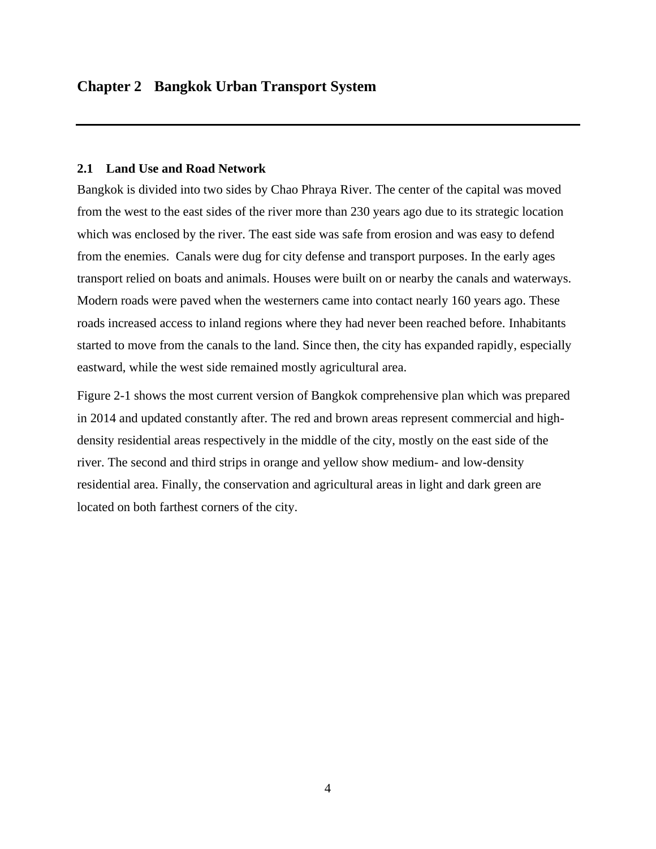### <span id="page-6-1"></span><span id="page-6-0"></span>**2.1 Land Use and Road Network**

Bangkok is divided into two sides by Chao Phraya River. The center of the capital was moved from the west to the east sides of the river more than 230 years ago due to its strategic location which was enclosed by the river. The east side was safe from erosion and was easy to defend from the enemies. Canals were dug for city defense and transport purposes. In the early ages transport relied on boats and animals. Houses were built on or nearby the canals and waterways. Modern roads were paved when the westerners came into contact nearly 160 years ago. These roads increased access to inland regions where they had never been reached before. Inhabitants started to move from the canals to the land. Since then, the city has expanded rapidly, especially eastward, while the west side remained mostly agricultural area.

Figure 2-1 shows the most current version of Bangkok comprehensive plan which was prepared in 2014 and updated constantly after. The red and brown areas represent commercial and highdensity residential areas respectively in the middle of the city, mostly on the east side of the river. The second and third strips in orange and yellow show medium- and low-density residential area. Finally, the conservation and agricultural areas in light and dark green are located on both farthest corners of the city.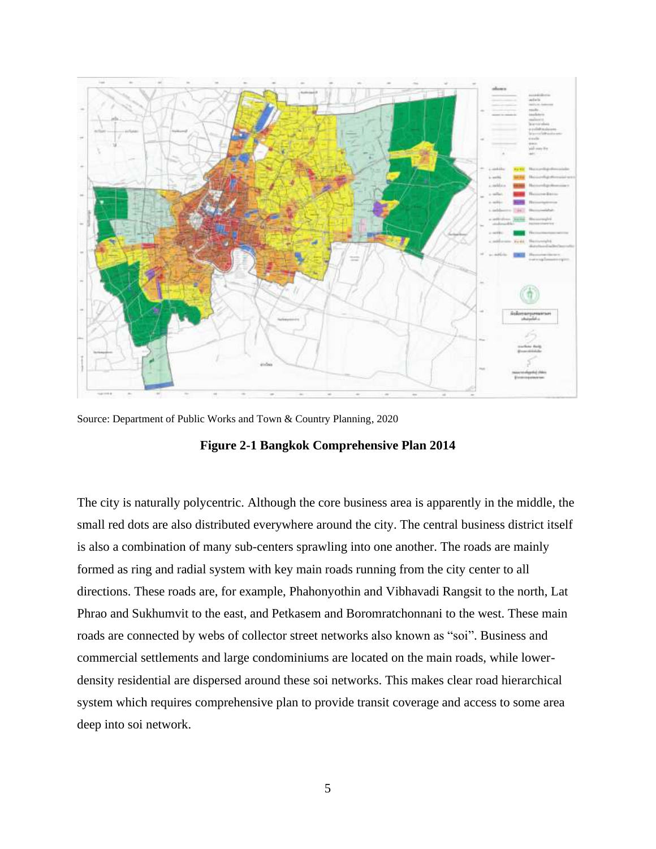

Source: Department of Public Works and Town & Country Planning, 2020

**Figure 2-1 Bangkok Comprehensive Plan 2014**

The city is naturally polycentric. Although the core business area is apparently in the middle, the small red dots are also distributed everywhere around the city. The central business district itself is also a combination of many sub-centers sprawling into one another. The roads are mainly formed as ring and radial system with key main roads running from the city center to all directions. These roads are, for example, Phahonyothin and Vibhavadi Rangsit to the north, Lat Phrao and Sukhumvit to the east, and Petkasem and Boromratchonnani to the west. These main roads are connected by webs of collector street networks also known as "soi". Business and commercial settlements and large condominiums are located on the main roads, while lowerdensity residential are dispersed around these soi networks. This makes clear road hierarchical system which requires comprehensive plan to provide transit coverage and access to some area deep into soi network.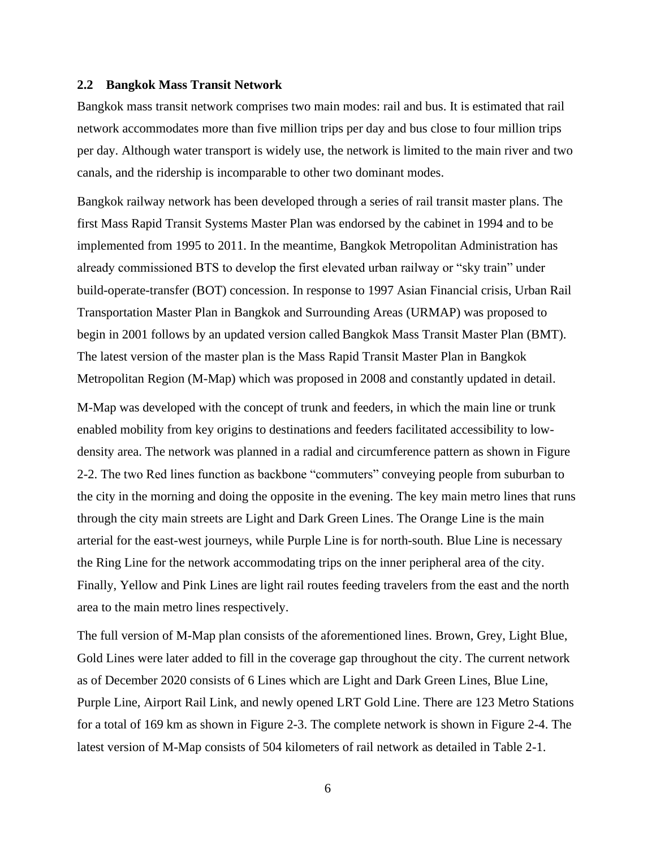#### <span id="page-8-0"></span>**2.2 Bangkok Mass Transit Network**

Bangkok mass transit network comprises two main modes: rail and bus. It is estimated that rail network accommodates more than five million trips per day and bus close to four million trips per day. Although water transport is widely use, the network is limited to the main river and two canals, and the ridership is incomparable to other two dominant modes.

Bangkok railway network has been developed through a series of rail transit master plans. The first Mass Rapid Transit Systems Master Plan was endorsed by the cabinet in 1994 and to be implemented from 1995 to 2011. In the meantime, Bangkok Metropolitan Administration has already commissioned BTS to develop the first elevated urban railway or "sky train" under build-operate-transfer (BOT) concession. In response to 1997 Asian Financial crisis, Urban Rail Transportation Master Plan in Bangkok and Surrounding Areas (URMAP) was proposed to begin in 2001 follows by an updated version called Bangkok Mass Transit Master Plan (BMT). The latest version of the master plan is the Mass Rapid Transit Master Plan in Bangkok Metropolitan Region (M-Map) which was proposed in 2008 and constantly updated in detail.

M-Map was developed with the concept of trunk and feeders, in which the main line or trunk enabled mobility from key origins to destinations and feeders facilitated accessibility to lowdensity area. The network was planned in a radial and circumference pattern as shown in Figure 2-2. The two Red lines function as backbone "commuters" conveying people from suburban to the city in the morning and doing the opposite in the evening. The key main metro lines that runs through the city main streets are Light and Dark Green Lines. The Orange Line is the main arterial for the east-west journeys, while Purple Line is for north-south. Blue Line is necessary the Ring Line for the network accommodating trips on the inner peripheral area of the city. Finally, Yellow and Pink Lines are light rail routes feeding travelers from the east and the north area to the main metro lines respectively.

The full version of M-Map plan consists of the aforementioned lines. Brown, Grey, Light Blue, Gold Lines were later added to fill in the coverage gap throughout the city. The current network as of December 2020 consists of 6 Lines which are Light and Dark Green Lines, Blue Line, Purple Line, Airport Rail Link, and newly opened LRT Gold Line. There are 123 Metro Stations for a total of 169 km as shown in Figure 2-3. The complete network is shown in Figure 2-4. The latest version of M-Map consists of 504 kilometers of rail network as detailed in Table 2-1.

6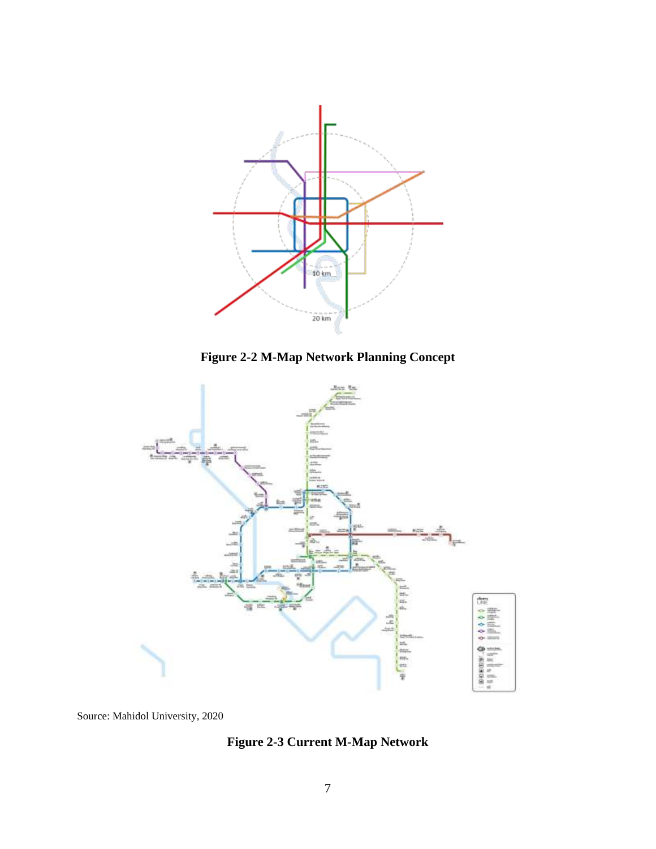





Source: Mahidol University, 2020

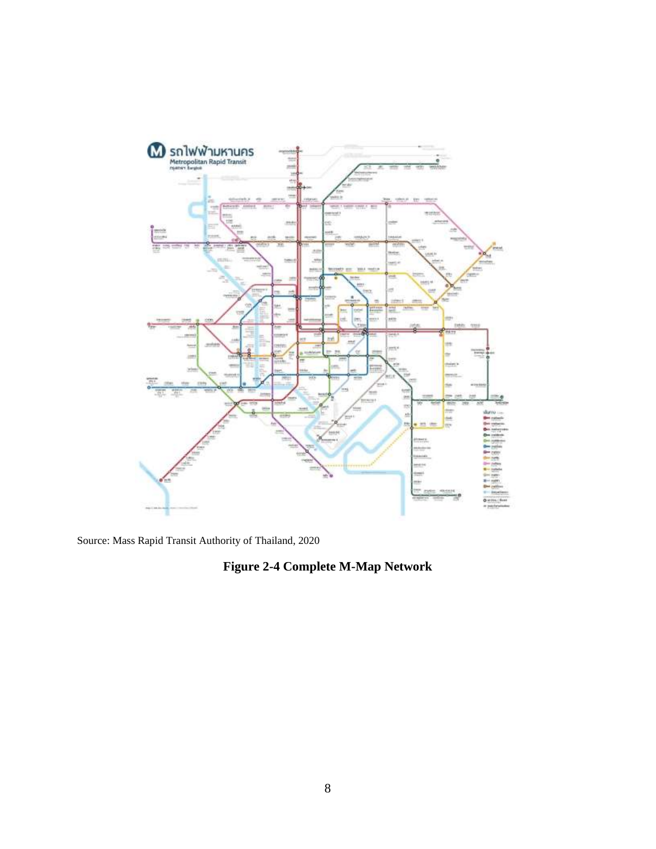

Source: Mass Rapid Transit Authority of Thailand, 2020

# **Figure 2-4 Complete M-Map Network**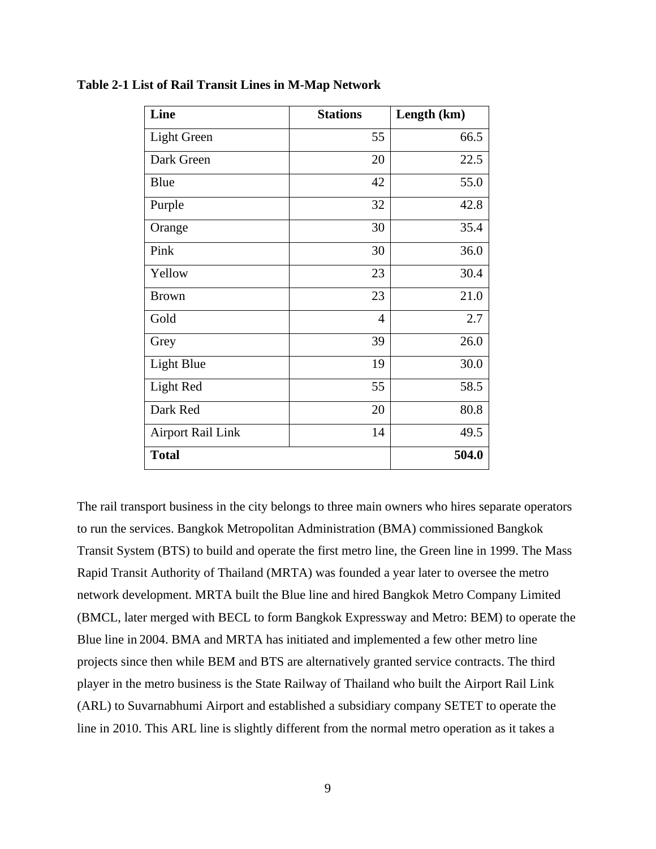| Line                     | <b>Stations</b> | Length (km) |
|--------------------------|-----------------|-------------|
| <b>Light Green</b>       | 55              | 66.5        |
| Dark Green               | 20              | 22.5        |
| Blue                     | 42              | 55.0        |
| Purple                   | 32              | 42.8        |
| Orange                   | 30              | 35.4        |
| Pink                     | 30              | 36.0        |
| Yellow                   | 23              | 30.4        |
| <b>Brown</b>             | 23              | 21.0        |
| Gold                     | $\overline{4}$  | 2.7         |
| Grey                     | 39              | 26.0        |
| Light Blue               | 19              | 30.0        |
| Light Red                | 55              | 58.5        |
| Dark Red                 | 20              | 80.8        |
| <b>Airport Rail Link</b> | 14              | 49.5        |
| <b>Total</b>             |                 | 504.0       |

**Table 2-1 List of Rail Transit Lines in M-Map Network**

The rail transport business in the city belongs to three main owners who hires separate operators to run the services. Bangkok Metropolitan Administration (BMA) commissioned Bangkok Transit System (BTS) to build and operate the first metro line, the Green line in 1999. The Mass Rapid Transit Authority of Thailand (MRTA) was founded a year later to oversee the metro network development. MRTA built the Blue line and hired Bangkok Metro Company Limited (BMCL, later merged with BECL to form Bangkok Expressway and Metro: BEM) to operate the Blue line in 2004. BMA and MRTA has initiated and implemented a few other metro line projects since then while BEM and BTS are alternatively granted service contracts. The third player in the metro business is the State Railway of Thailand who built the Airport Rail Link (ARL) to Suvarnabhumi Airport and established a subsidiary company SETET to operate the line in 2010. This ARL line is slightly different from the normal metro operation as it takes a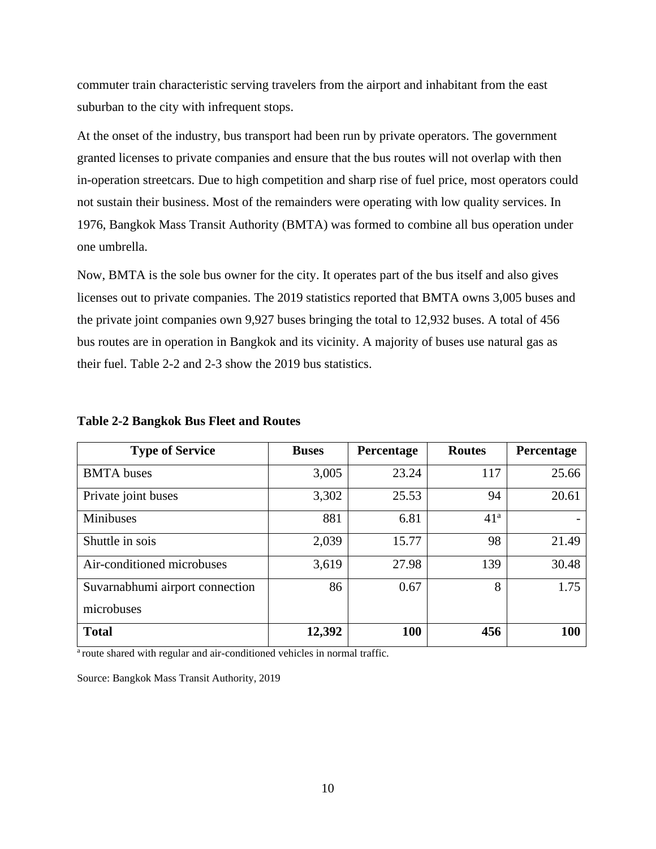commuter train characteristic serving travelers from the airport and inhabitant from the east suburban to the city with infrequent stops.

At the onset of the industry, bus transport had been run by private operators. The government granted licenses to private companies and ensure that the bus routes will not overlap with then in-operation streetcars. Due to high competition and sharp rise of fuel price, most operators could not sustain their business. Most of the remainders were operating with low quality services. In 1976, Bangkok Mass Transit Authority (BMTA) was formed to combine all bus operation under one umbrella.

Now, BMTA is the sole bus owner for the city. It operates part of the bus itself and also gives licenses out to private companies. The 2019 statistics reported that BMTA owns 3,005 buses and the private joint companies own 9,927 buses bringing the total to 12,932 buses. A total of 456 bus routes are in operation in Bangkok and its vicinity. A majority of buses use natural gas as their fuel. Table 2-2 and 2-3 show the 2019 bus statistics.

| <b>Type of Service</b>          | <b>Buses</b> | Percentage | <b>Routes</b>   | Percentage |
|---------------------------------|--------------|------------|-----------------|------------|
| <b>BMTA</b> buses               | 3,005        | 23.24      | 117             | 25.66      |
| Private joint buses             | 3,302        | 25.53      | 94              | 20.61      |
| <b>Minibuses</b>                | 881          | 6.81       | 41 <sup>a</sup> |            |
| Shuttle in sois                 | 2,039        | 15.77      | 98              | 21.49      |
| Air-conditioned microbuses      | 3,619        | 27.98      | 139             | 30.48      |
| Suvarnabhumi airport connection | 86           | 0.67       | 8               | 1.75       |
| microbuses                      |              |            |                 |            |
| <b>Total</b>                    | 12,392       | 100        | 456             | 100        |

**Table 2-2 Bangkok Bus Fleet and Routes** 

<sup>a</sup> route shared with regular and air-conditioned vehicles in normal traffic.

Source: Bangkok Mass Transit Authority, 2019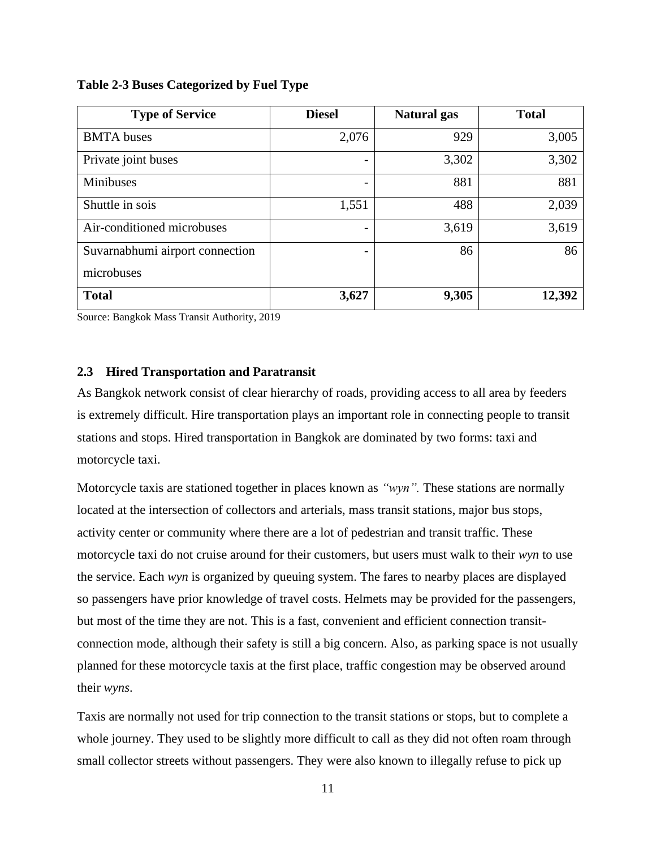| <b>Type of Service</b>          | <b>Diesel</b> | <b>Natural</b> gas | <b>Total</b> |
|---------------------------------|---------------|--------------------|--------------|
| <b>BMTA</b> buses               | 2,076         | 929                | 3,005        |
| Private joint buses             |               | 3,302              | 3,302        |
| <b>Minibuses</b>                |               | 881                | 881          |
| Shuttle in sois                 | 1,551         | 488                | 2,039        |
| Air-conditioned microbuses      |               | 3,619              | 3,619        |
| Suvarnabhumi airport connection |               | 86                 | 86           |
| microbuses                      |               |                    |              |
| <b>Total</b>                    | 3,627         | 9,305              | 12,392       |

**Table 2-3 Buses Categorized by Fuel Type** 

Source: Bangkok Mass Transit Authority, 2019

# <span id="page-13-0"></span>**2.3 Hired Transportation and Paratransit**

As Bangkok network consist of clear hierarchy of roads, providing access to all area by feeders is extremely difficult. Hire transportation plays an important role in connecting people to transit stations and stops. Hired transportation in Bangkok are dominated by two forms: taxi and motorcycle taxi.

Motorcycle taxis are stationed together in places known as *"wyn".* These stations are normally located at the intersection of collectors and arterials, mass transit stations, major bus stops, activity center or community where there are a lot of pedestrian and transit traffic. These motorcycle taxi do not cruise around for their customers, but users must walk to their *wyn* to use the service. Each *wyn* is organized by queuing system. The fares to nearby places are displayed so passengers have prior knowledge of travel costs. Helmets may be provided for the passengers, but most of the time they are not. This is a fast, convenient and efficient connection transitconnection mode, although their safety is still a big concern. Also, as parking space is not usually planned for these motorcycle taxis at the first place, traffic congestion may be observed around their *wyns*.

Taxis are normally not used for trip connection to the transit stations or stops, but to complete a whole journey. They used to be slightly more difficult to call as they did not often roam through small collector streets without passengers. They were also known to illegally refuse to pick up

11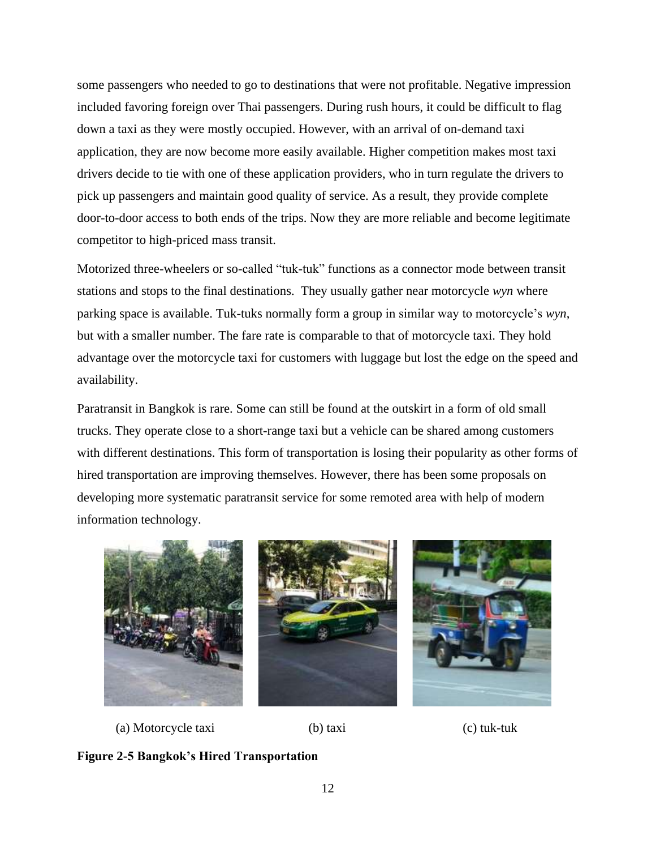some passengers who needed to go to destinations that were not profitable. Negative impression included favoring foreign over Thai passengers. During rush hours, it could be difficult to flag down a taxi as they were mostly occupied. However, with an arrival of on-demand taxi application, they are now become more easily available. Higher competition makes most taxi drivers decide to tie with one of these application providers, who in turn regulate the drivers to pick up passengers and maintain good quality of service. As a result, they provide complete door-to-door access to both ends of the trips. Now they are more reliable and become legitimate competitor to high-priced mass transit.

Motorized three-wheelers or so-called "tuk-tuk" functions as a connector mode between transit stations and stops to the final destinations. They usually gather near motorcycle *wyn* where parking space is available. Tuk-tuks normally form a group in similar way to motorcycle's *wyn*, but with a smaller number. The fare rate is comparable to that of motorcycle taxi. They hold advantage over the motorcycle taxi for customers with luggage but lost the edge on the speed and availability.

Paratransit in Bangkok is rare. Some can still be found at the outskirt in a form of old small trucks. They operate close to a short-range taxi but a vehicle can be shared among customers with different destinations. This form of transportation is losing their popularity as other forms of hired transportation are improving themselves. However, there has been some proposals on developing more systematic paratransit service for some remoted area with help of modern information technology.





(a) Motorcycle taxi (b) taxi (c) tuk-tuk

**Figure 2-5 Bangkok's Hired Transportation**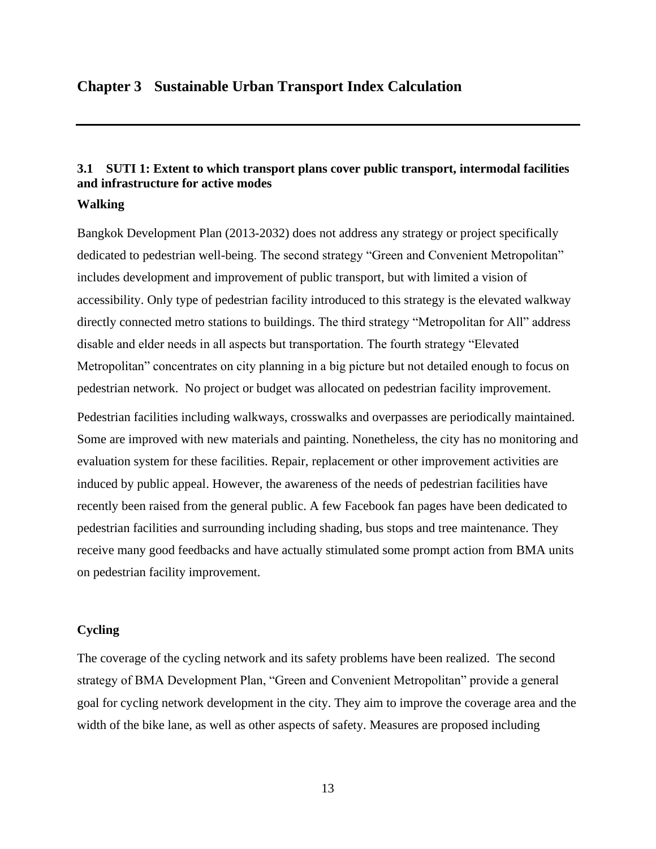# <span id="page-15-0"></span>**Chapter 3 Sustainable Urban Transport Index Calculation**

# <span id="page-15-1"></span>**3.1 SUTI 1: Extent to which transport plans cover public transport, intermodal facilities and infrastructure for active modes**

#### **Walking**

Bangkok Development Plan (2013-2032) does not address any strategy or project specifically dedicated to pedestrian well-being. The second strategy "Green and Convenient Metropolitan" includes development and improvement of public transport, but with limited a vision of accessibility. Only type of pedestrian facility introduced to this strategy is the elevated walkway directly connected metro stations to buildings. The third strategy "Metropolitan for All" address disable and elder needs in all aspects but transportation. The fourth strategy "Elevated Metropolitan" concentrates on city planning in a big picture but not detailed enough to focus on pedestrian network. No project or budget was allocated on pedestrian facility improvement.

Pedestrian facilities including walkways, crosswalks and overpasses are periodically maintained. Some are improved with new materials and painting. Nonetheless, the city has no monitoring and evaluation system for these facilities. Repair, replacement or other improvement activities are induced by public appeal. However, the awareness of the needs of pedestrian facilities have recently been raised from the general public. A few Facebook fan pages have been dedicated to pedestrian facilities and surrounding including shading, bus stops and tree maintenance. They receive many good feedbacks and have actually stimulated some prompt action from BMA units on pedestrian facility improvement.

# **Cycling**

The coverage of the cycling network and its safety problems have been realized. The second strategy of BMA Development Plan, "Green and Convenient Metropolitan" provide a general goal for cycling network development in the city. They aim to improve the coverage area and the width of the bike lane, as well as other aspects of safety. Measures are proposed including

13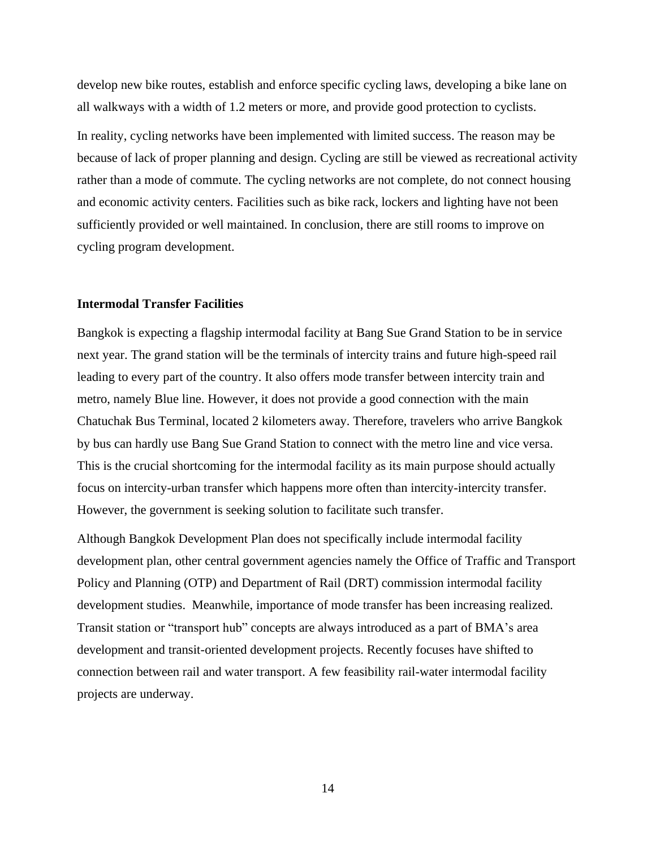develop new bike routes, establish and enforce specific cycling laws, developing a bike lane on all walkways with a width of 1.2 meters or more, and provide good protection to cyclists.

In reality, cycling networks have been implemented with limited success. The reason may be because of lack of proper planning and design. Cycling are still be viewed as recreational activity rather than a mode of commute. The cycling networks are not complete, do not connect housing and economic activity centers. Facilities such as bike rack, lockers and lighting have not been sufficiently provided or well maintained. In conclusion, there are still rooms to improve on cycling program development.

### **Intermodal Transfer Facilities**

Bangkok is expecting a flagship intermodal facility at Bang Sue Grand Station to be in service next year. The grand station will be the terminals of intercity trains and future high-speed rail leading to every part of the country. It also offers mode transfer between intercity train and metro, namely Blue line. However, it does not provide a good connection with the main Chatuchak Bus Terminal, located 2 kilometers away. Therefore, travelers who arrive Bangkok by bus can hardly use Bang Sue Grand Station to connect with the metro line and vice versa. This is the crucial shortcoming for the intermodal facility as its main purpose should actually focus on intercity-urban transfer which happens more often than intercity-intercity transfer. However, the government is seeking solution to facilitate such transfer.

Although Bangkok Development Plan does not specifically include intermodal facility development plan, other central government agencies namely the Office of Traffic and Transport Policy and Planning (OTP) and Department of Rail (DRT) commission intermodal facility development studies. Meanwhile, importance of mode transfer has been increasing realized. Transit station or "transport hub" concepts are always introduced as a part of BMA's area development and transit-oriented development projects. Recently focuses have shifted to connection between rail and water transport. A few feasibility rail-water intermodal facility projects are underway.

14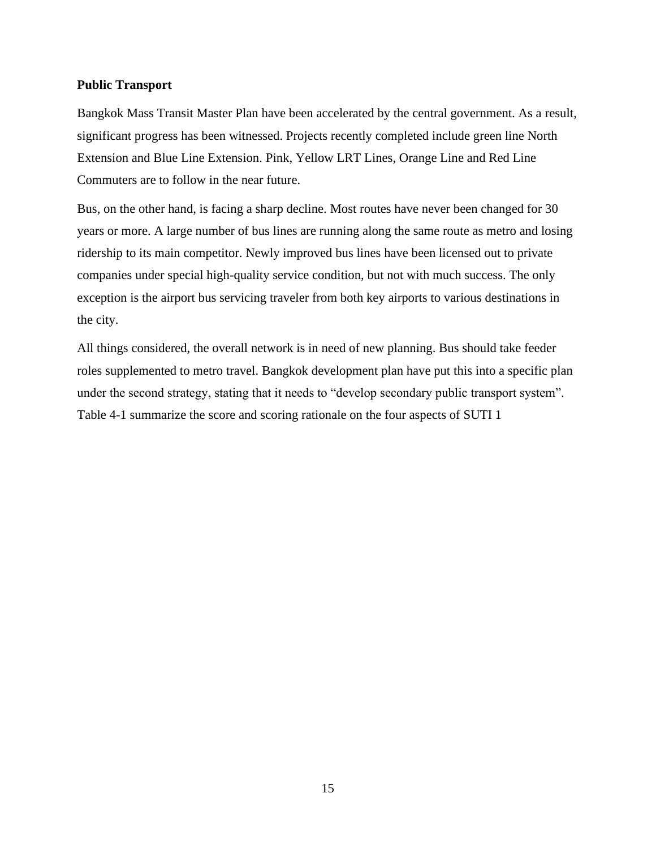#### **Public Transport**

Bangkok Mass Transit Master Plan have been accelerated by the central government. As a result, significant progress has been witnessed. Projects recently completed include green line North Extension and Blue Line Extension. Pink, Yellow LRT Lines, Orange Line and Red Line Commuters are to follow in the near future.

Bus, on the other hand, is facing a sharp decline. Most routes have never been changed for 30 years or more. A large number of bus lines are running along the same route as metro and losing ridership to its main competitor. Newly improved bus lines have been licensed out to private companies under special high-quality service condition, but not with much success. The only exception is the airport bus servicing traveler from both key airports to various destinations in the city.

All things considered, the overall network is in need of new planning. Bus should take feeder roles supplemented to metro travel. Bangkok development plan have put this into a specific plan under the second strategy, stating that it needs to "develop secondary public transport system". Table 4-1 summarize the score and scoring rationale on the four aspects of SUTI 1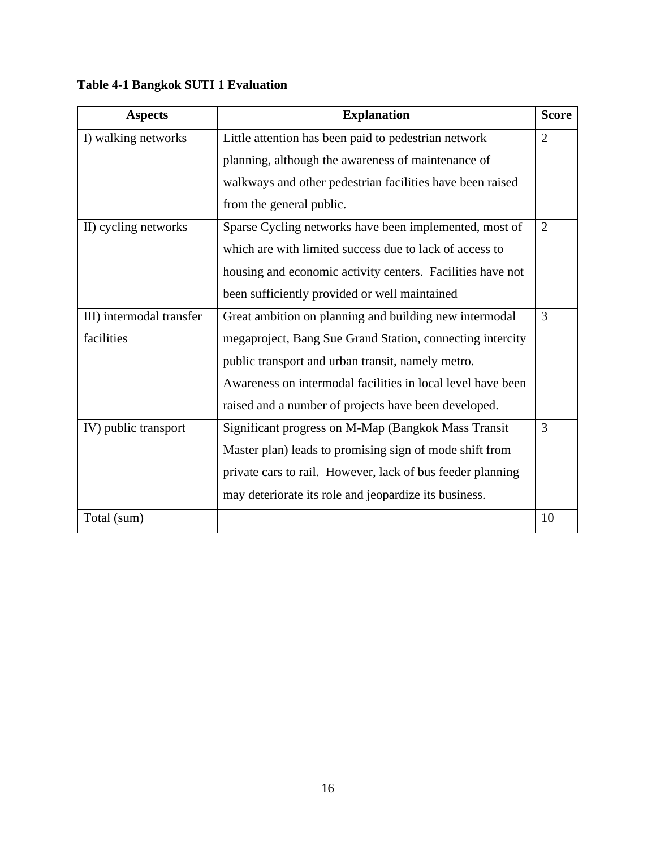| <b>Aspects</b>           | <b>Explanation</b>                                          | <b>Score</b>   |
|--------------------------|-------------------------------------------------------------|----------------|
| I) walking networks      | Little attention has been paid to pedestrian network        | $\overline{2}$ |
|                          | planning, although the awareness of maintenance of          |                |
|                          | walkways and other pedestrian facilities have been raised   |                |
|                          | from the general public.                                    |                |
| II) cycling networks     | Sparse Cycling networks have been implemented, most of      | 2              |
|                          | which are with limited success due to lack of access to     |                |
|                          | housing and economic activity centers. Facilities have not  |                |
|                          | been sufficiently provided or well maintained               |                |
| III) intermodal transfer | Great ambition on planning and building new intermodal      | 3              |
| facilities               | megaproject, Bang Sue Grand Station, connecting intercity   |                |
|                          | public transport and urban transit, namely metro.           |                |
|                          | Awareness on intermodal facilities in local level have been |                |
|                          | raised and a number of projects have been developed.        |                |
| IV) public transport     | Significant progress on M-Map (Bangkok Mass Transit         | 3              |
|                          | Master plan) leads to promising sign of mode shift from     |                |
|                          | private cars to rail. However, lack of bus feeder planning  |                |
|                          | may deteriorate its role and jeopardize its business.       |                |
| Total (sum)              |                                                             | 10             |

**Table 4-1 Bangkok SUTI 1 Evaluation**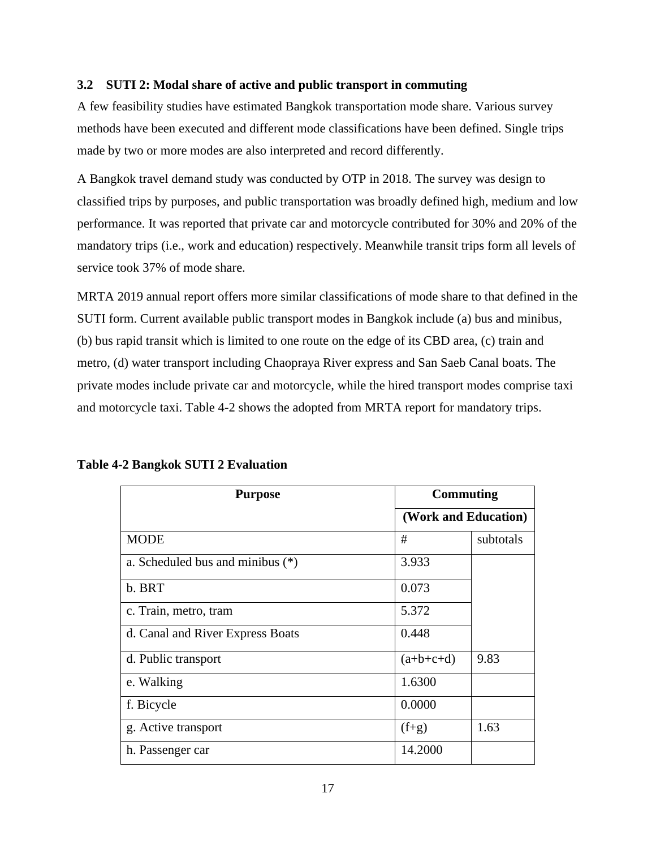# <span id="page-19-0"></span>**3.2 SUTI 2: Modal share of active and public transport in commuting**

A few feasibility studies have estimated Bangkok transportation mode share. Various survey methods have been executed and different mode classifications have been defined. Single trips made by two or more modes are also interpreted and record differently.

A Bangkok travel demand study was conducted by OTP in 2018. The survey was design to classified trips by purposes, and public transportation was broadly defined high, medium and low performance. It was reported that private car and motorcycle contributed for 30% and 20% of the mandatory trips (i.e., work and education) respectively. Meanwhile transit trips form all levels of service took 37% of mode share.

MRTA 2019 annual report offers more similar classifications of mode share to that defined in the SUTI form. Current available public transport modes in Bangkok include (a) bus and minibus, (b) bus rapid transit which is limited to one route on the edge of its CBD area, (c) train and metro, (d) water transport including Chaopraya River express and San Saeb Canal boats. The private modes include private car and motorcycle, while the hired transport modes comprise taxi and motorcycle taxi. Table 4-2 shows the adopted from MRTA report for mandatory trips.

| <b>Purpose</b>                     | Commuting            |           |
|------------------------------------|----------------------|-----------|
|                                    | (Work and Education) |           |
| <b>MODE</b>                        | #                    | subtotals |
| a. Scheduled bus and minibus $(*)$ | 3.933                |           |
| b. BRT                             | 0.073                |           |
| c. Train, metro, tram              | 5.372                |           |
| d. Canal and River Express Boats   | 0.448                |           |
| d. Public transport                | $(a+b+c+d)$          | 9.83      |
| e. Walking                         | 1.6300               |           |
| f. Bicycle                         | 0.0000               |           |
| g. Active transport                | $(f+g)$              | 1.63      |
| h. Passenger car                   | 14.2000              |           |

| <b>Table 4-2 Bangkok SUTI 2 Evaluation</b> |  |  |
|--------------------------------------------|--|--|
|--------------------------------------------|--|--|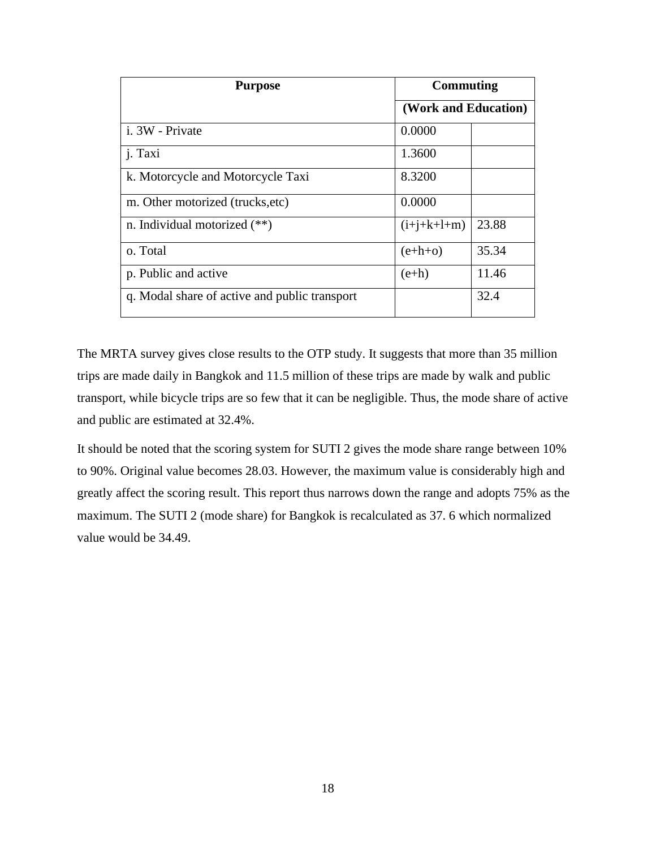| <b>Purpose</b>                                | <b>Commuting</b><br>(Work and Education) |       |
|-----------------------------------------------|------------------------------------------|-------|
|                                               |                                          |       |
| i. 3W - Private                               | 0.0000                                   |       |
| <i>i</i> . Taxi                               | 1.3600                                   |       |
| k. Motorcycle and Motorcycle Taxi             | 8.3200                                   |       |
| m. Other motorized (trucks, etc)              | 0.0000                                   |       |
| n. Individual motorized $(**)$                | $(i+j+k+l+m)$                            | 23.88 |
| o. Total                                      | $(e+h+o)$                                | 35.34 |
| p. Public and active                          | $(e+h)$                                  | 11.46 |
| q. Modal share of active and public transport |                                          | 32.4  |

The MRTA survey gives close results to the OTP study. It suggests that more than 35 million trips are made daily in Bangkok and 11.5 million of these trips are made by walk and public transport, while bicycle trips are so few that it can be negligible. Thus, the mode share of active and public are estimated at 32.4%.

It should be noted that the scoring system for SUTI 2 gives the mode share range between 10% to 90%. Original value becomes 28.03. However, the maximum value is considerably high and greatly affect the scoring result. This report thus narrows down the range and adopts 75% as the maximum. The SUTI 2 (mode share) for Bangkok is recalculated as 37. 6 which normalized value would be 34.49.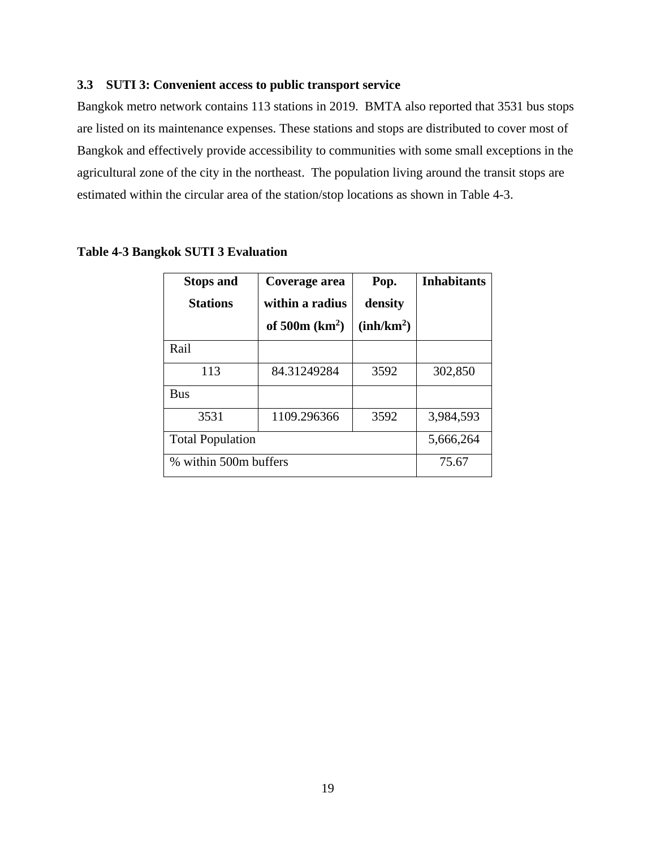# <span id="page-21-0"></span>**3.3 SUTI 3: Convenient access to public transport service**

Bangkok metro network contains 113 stations in 2019. BMTA also reported that 3531 bus stops are listed on its maintenance expenses. These stations and stops are distributed to cover most of Bangkok and effectively provide accessibility to communities with some small exceptions in the agricultural zone of the city in the northeast. The population living around the transit stops are estimated within the circular area of the station/stop locations as shown in Table 4-3.

| <b>Stops and</b><br><b>Stations</b> | Coverage area<br>within a radius<br>of $500m (km2)$ | Pop.<br>density<br>(inh/km <sup>2</sup> ) | <b>Inhabitants</b> |
|-------------------------------------|-----------------------------------------------------|-------------------------------------------|--------------------|
| Rail                                |                                                     |                                           |                    |
| 113                                 | 84.31249284                                         | 3592                                      | 302,850            |
| <b>Bus</b>                          |                                                     |                                           |                    |
| 3531                                | 1109.296366                                         | 3592                                      | 3,984,593          |
| <b>Total Population</b>             | 5,666,264                                           |                                           |                    |
| % within 500m buffers               | 75.67                                               |                                           |                    |

#### **Table 4-3 Bangkok SUTI 3 Evaluation**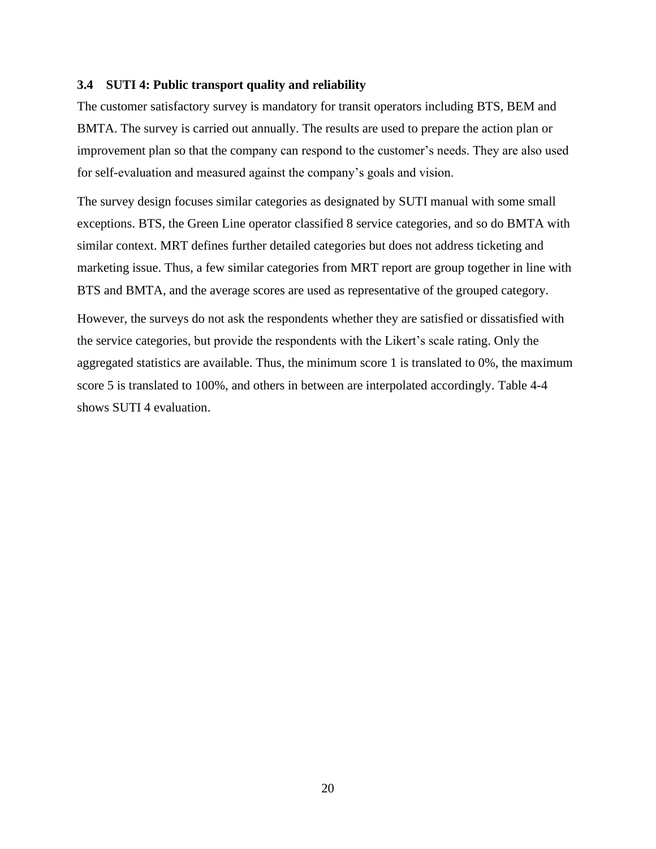#### <span id="page-22-0"></span>**3.4 SUTI 4: Public transport quality and reliability**

The customer satisfactory survey is mandatory for transit operators including BTS, BEM and BMTA. The survey is carried out annually. The results are used to prepare the action plan or improvement plan so that the company can respond to the customer's needs. They are also used for self-evaluation and measured against the company's goals and vision.

The survey design focuses similar categories as designated by SUTI manual with some small exceptions. BTS, the Green Line operator classified 8 service categories, and so do BMTA with similar context. MRT defines further detailed categories but does not address ticketing and marketing issue. Thus, a few similar categories from MRT report are group together in line with BTS and BMTA, and the average scores are used as representative of the grouped category.

However, the surveys do not ask the respondents whether they are satisfied or dissatisfied with the service categories, but provide the respondents with the Likert's scale rating. Only the aggregated statistics are available. Thus, the minimum score 1 is translated to 0%, the maximum score 5 is translated to 100%, and others in between are interpolated accordingly. Table 4-4 shows SUTI 4 evaluation.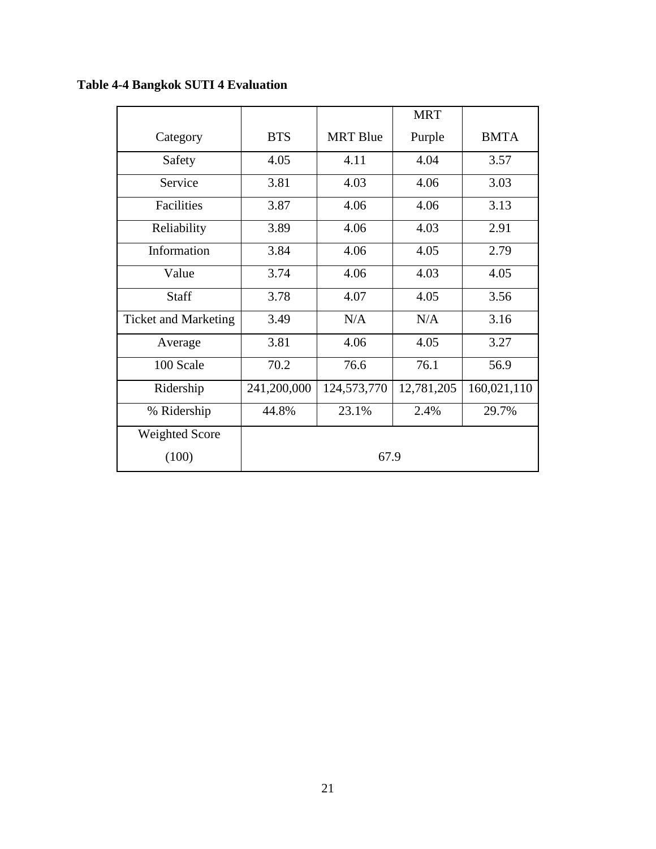|                             |             |                 | <b>MRT</b> |             |
|-----------------------------|-------------|-----------------|------------|-------------|
| Category                    | <b>BTS</b>  | <b>MRT</b> Blue | Purple     | <b>BMTA</b> |
| Safety                      | 4.05        | 4.11            | 4.04       | 3.57        |
| Service                     | 3.81        | 4.03            | 4.06       | 3.03        |
| Facilities                  | 3.87        | 4.06            | 4.06       | 3.13        |
| Reliability                 | 3.89        | 4.06            | 4.03       | 2.91        |
| Information                 | 3.84        | 4.06            | 4.05       | 2.79        |
| Value                       | 3.74        | 4.06            | 4.03       | 4.05        |
| Staff                       | 3.78        | 4.07            | 4.05       | 3.56        |
| <b>Ticket and Marketing</b> | 3.49        | N/A             | N/A        | 3.16        |
| Average                     | 3.81        | 4.06            | 4.05       | 3.27        |
| 100 Scale                   | 70.2        | 76.6            | 76.1       | 56.9        |
| Ridership                   | 241,200,000 | 124,573,770     | 12,781,205 | 160,021,110 |
| % Ridership                 | 44.8%       | 23.1%           | 2.4%       | 29.7%       |
| <b>Weighted Score</b>       |             |                 |            |             |
| (100)                       |             | 67.9            |            |             |

**Table 4-4 Bangkok SUTI 4 Evaluation**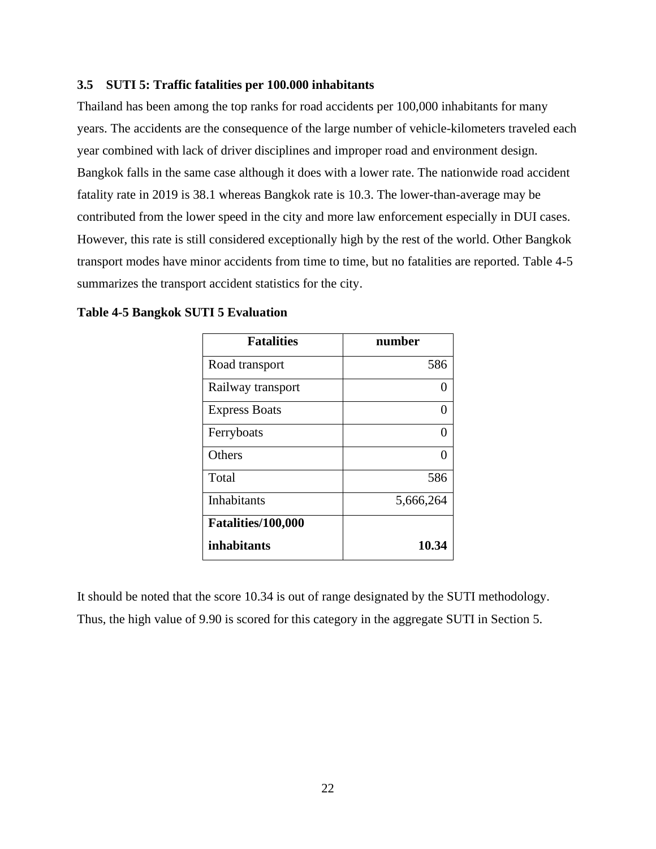### <span id="page-24-0"></span>**3.5 SUTI 5: Traffic fatalities per 100.000 inhabitants**

Thailand has been among the top ranks for road accidents per 100,000 inhabitants for many years. The accidents are the consequence of the large number of vehicle-kilometers traveled each year combined with lack of driver disciplines and improper road and environment design. Bangkok falls in the same case although it does with a lower rate. The nationwide road accident fatality rate in 2019 is 38.1 whereas Bangkok rate is 10.3. The lower-than-average may be contributed from the lower speed in the city and more law enforcement especially in DUI cases. However, this rate is still considered exceptionally high by the rest of the world. Other Bangkok transport modes have minor accidents from time to time, but no fatalities are reported. Table 4-5 summarizes the transport accident statistics for the city.

| <b>Fatalities</b>    | number    |
|----------------------|-----------|
| Road transport       | 586       |
| Railway transport    | 0         |
| <b>Express Boats</b> | 0         |
| Ferryboats           | 0         |
| Others               |           |
| Total                | 586       |
| <b>Inhabitants</b>   | 5,666,264 |
| Fatalities/100,000   |           |
| inhabitants          | 10.34     |

**Table 4-5 Bangkok SUTI 5 Evaluation**

It should be noted that the score 10.34 is out of range designated by the SUTI methodology. Thus, the high value of 9.90 is scored for this category in the aggregate SUTI in Section 5.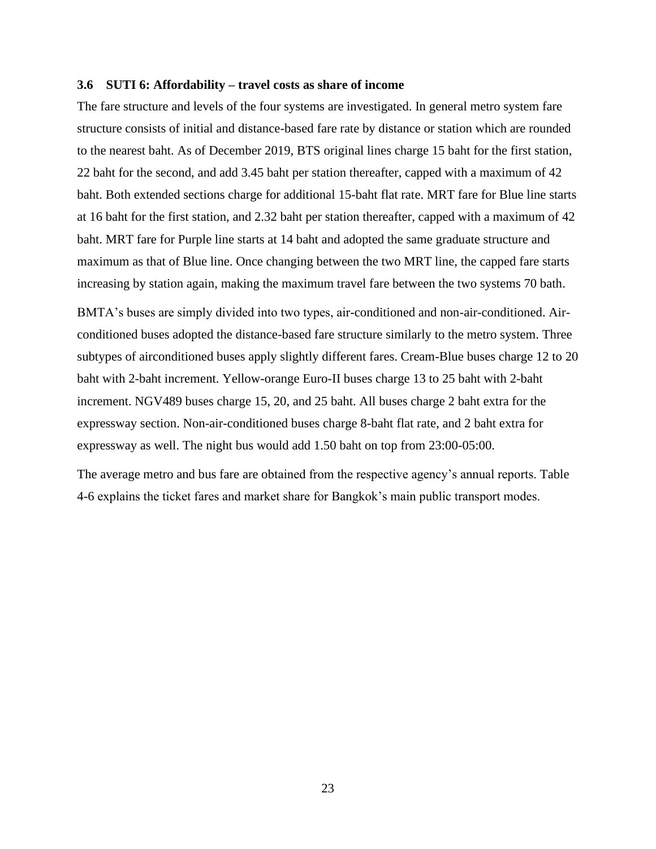#### <span id="page-25-0"></span>**3.6 SUTI 6: Affordability – travel costs as share of income**

The fare structure and levels of the four systems are investigated. In general metro system fare structure consists of initial and distance-based fare rate by distance or station which are rounded to the nearest baht. As of December 2019, BTS original lines charge 15 baht for the first station, 22 baht for the second, and add 3.45 baht per station thereafter, capped with a maximum of 42 baht. Both extended sections charge for additional 15-baht flat rate. MRT fare for Blue line starts at 16 baht for the first station, and 2.32 baht per station thereafter, capped with a maximum of 42 baht. MRT fare for Purple line starts at 14 baht and adopted the same graduate structure and maximum as that of Blue line. Once changing between the two MRT line, the capped fare starts increasing by station again, making the maximum travel fare between the two systems 70 bath.

BMTA's buses are simply divided into two types, air-conditioned and non-air-conditioned. Airconditioned buses adopted the distance-based fare structure similarly to the metro system. Three subtypes of airconditioned buses apply slightly different fares. Cream-Blue buses charge 12 to 20 baht with 2-baht increment. Yellow-orange Euro-II buses charge 13 to 25 baht with 2-baht increment. NGV489 buses charge 15, 20, and 25 baht. All buses charge 2 baht extra for the expressway section. Non-air-conditioned buses charge 8-baht flat rate, and 2 baht extra for expressway as well. The night bus would add 1.50 baht on top from 23:00-05:00.

The average metro and bus fare are obtained from the respective agency's annual reports. Table 4-6 explains the ticket fares and market share for Bangkok's main public transport modes.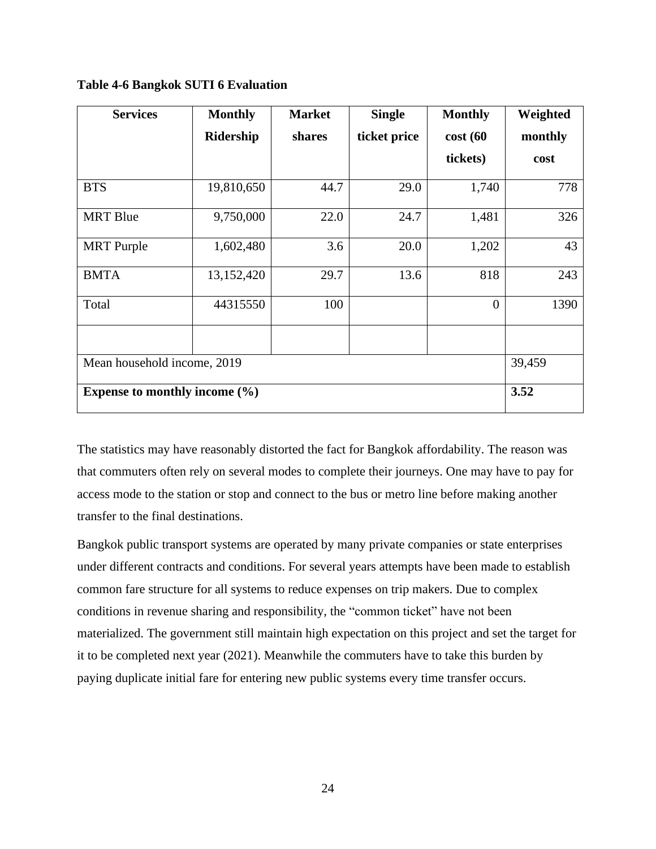| <b>Services</b>                   | <b>Monthly</b> | <b>Market</b> | <b>Single</b> | <b>Monthly</b> | Weighted |
|-----------------------------------|----------------|---------------|---------------|----------------|----------|
|                                   | Ridership      | shares        | ticket price  | cost(60)       | monthly  |
|                                   |                |               |               | tickets)       | cost     |
| <b>BTS</b>                        | 19,810,650     | 44.7          | 29.0          | 1,740          | 778      |
| <b>MRT</b> Blue                   | 9,750,000      | 22.0          | 24.7          | 1,481          | 326      |
| <b>MRT</b> Purple                 | 1,602,480      | 3.6           | 20.0          | 1,202          | 43       |
| <b>BMTA</b>                       | 13,152,420     | 29.7          | 13.6          | 818            | 243      |
| Total                             | 44315550       | 100           |               | $\overline{0}$ | 1390     |
| Mean household income, 2019       | 39,459         |               |               |                |          |
| Expense to monthly income $(\% )$ | 3.52           |               |               |                |          |

**Table 4-6 Bangkok SUTI 6 Evaluation**

The statistics may have reasonably distorted the fact for Bangkok affordability. The reason was that commuters often rely on several modes to complete their journeys. One may have to pay for access mode to the station or stop and connect to the bus or metro line before making another transfer to the final destinations.

Bangkok public transport systems are operated by many private companies or state enterprises under different contracts and conditions. For several years attempts have been made to establish common fare structure for all systems to reduce expenses on trip makers. Due to complex conditions in revenue sharing and responsibility, the "common ticket" have not been materialized. The government still maintain high expectation on this project and set the target for it to be completed next year (2021). Meanwhile the commuters have to take this burden by paying duplicate initial fare for entering new public systems every time transfer occurs.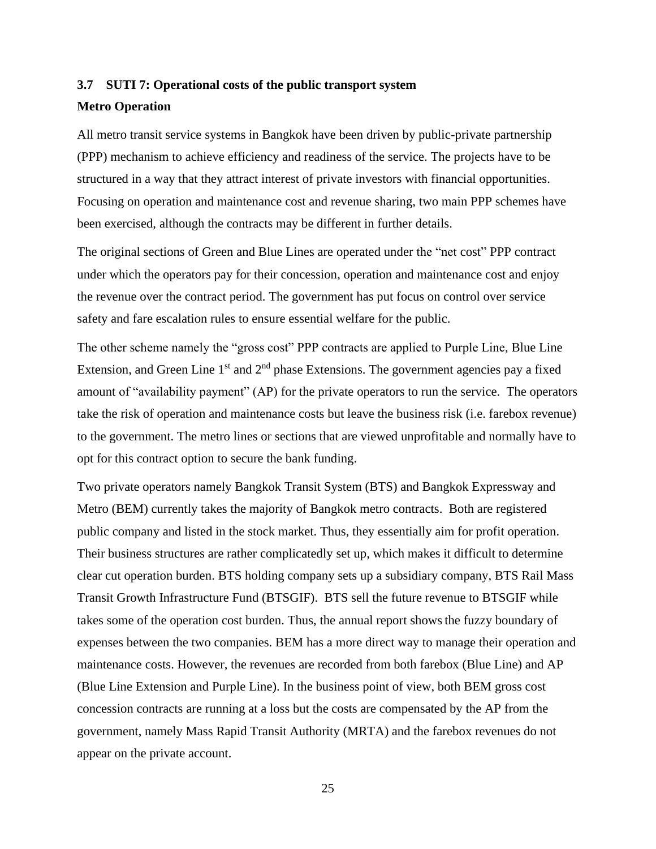# <span id="page-27-0"></span>**3.7 SUTI 7: Operational costs of the public transport system Metro Operation**

All metro transit service systems in Bangkok have been driven by public-private partnership (PPP) mechanism to achieve efficiency and readiness of the service. The projects have to be structured in a way that they attract interest of private investors with financial opportunities. Focusing on operation and maintenance cost and revenue sharing, two main PPP schemes have been exercised, although the contracts may be different in further details.

The original sections of Green and Blue Lines are operated under the "net cost" PPP contract under which the operators pay for their concession, operation and maintenance cost and enjoy the revenue over the contract period. The government has put focus on control over service safety and fare escalation rules to ensure essential welfare for the public.

The other scheme namely the "gross cost" PPP contracts are applied to Purple Line, Blue Line Extension, and Green Line  $1<sup>st</sup>$  and  $2<sup>nd</sup>$  phase Extensions. The government agencies pay a fixed amount of "availability payment" (AP) for the private operators to run the service. The operators take the risk of operation and maintenance costs but leave the business risk (i.e. farebox revenue) to the government. The metro lines or sections that are viewed unprofitable and normally have to opt for this contract option to secure the bank funding.

Two private operators namely Bangkok Transit System (BTS) and Bangkok Expressway and Metro (BEM) currently takes the majority of Bangkok metro contracts. Both are registered public company and listed in the stock market. Thus, they essentially aim for profit operation. Their business structures are rather complicatedly set up, which makes it difficult to determine clear cut operation burden. BTS holding company sets up a subsidiary company, BTS Rail Mass Transit Growth Infrastructure Fund (BTSGIF). BTS sell the future revenue to BTSGIF while takes some of the operation cost burden. Thus, the annual report showsthe fuzzy boundary of expenses between the two companies. BEM has a more direct way to manage their operation and maintenance costs. However, the revenues are recorded from both farebox (Blue Line) and AP (Blue Line Extension and Purple Line). In the business point of view, both BEM gross cost concession contracts are running at a loss but the costs are compensated by the AP from the government, namely Mass Rapid Transit Authority (MRTA) and the farebox revenues do not appear on the private account.

25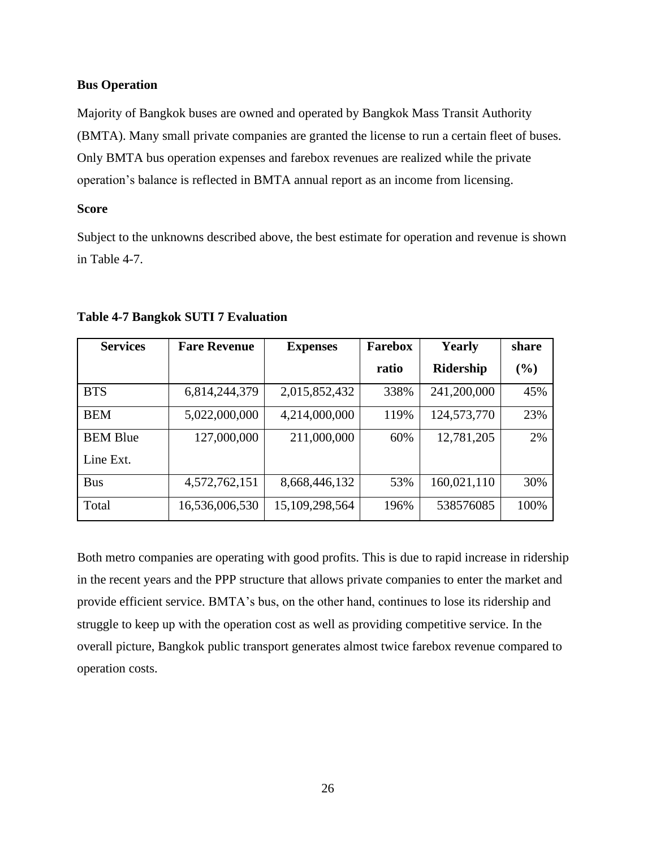# **Bus Operation**

Majority of Bangkok buses are owned and operated by Bangkok Mass Transit Authority (BMTA). Many small private companies are granted the license to run a certain fleet of buses. Only BMTA bus operation expenses and farebox revenues are realized while the private operation's balance is reflected in BMTA annual report as an income from licensing.

# **Score**

Subject to the unknowns described above, the best estimate for operation and revenue is shown in Table 4-7.

| <b>Services</b> | <b>Fare Revenue</b> | <b>Expenses</b> | <b>Farebox</b> | Yearly      | share |
|-----------------|---------------------|-----------------|----------------|-------------|-------|
|                 |                     |                 | ratio          | Ridership   | (%)   |
| <b>BTS</b>      | 6,814,244,379       | 2,015,852,432   | 338%           | 241,200,000 | 45%   |
| <b>BEM</b>      | 5,022,000,000       | 4,214,000,000   | 119%           | 124,573,770 | 23%   |
| <b>BEM Blue</b> | 127,000,000         | 211,000,000     | 60%            | 12,781,205  | 2%    |
| Line Ext.       |                     |                 |                |             |       |
| <b>Bus</b>      | 4,572,762,151       | 8,668,446,132   | 53%            | 160,021,110 | 30%   |
| Total           | 16,536,006,530      | 15,109,298,564  | 196%           | 538576085   | 100%  |

# **Table 4-7 Bangkok SUTI 7 Evaluation**

Both metro companies are operating with good profits. This is due to rapid increase in ridership in the recent years and the PPP structure that allows private companies to enter the market and provide efficient service. BMTA's bus, on the other hand, continues to lose its ridership and struggle to keep up with the operation cost as well as providing competitive service. In the overall picture, Bangkok public transport generates almost twice farebox revenue compared to operation costs.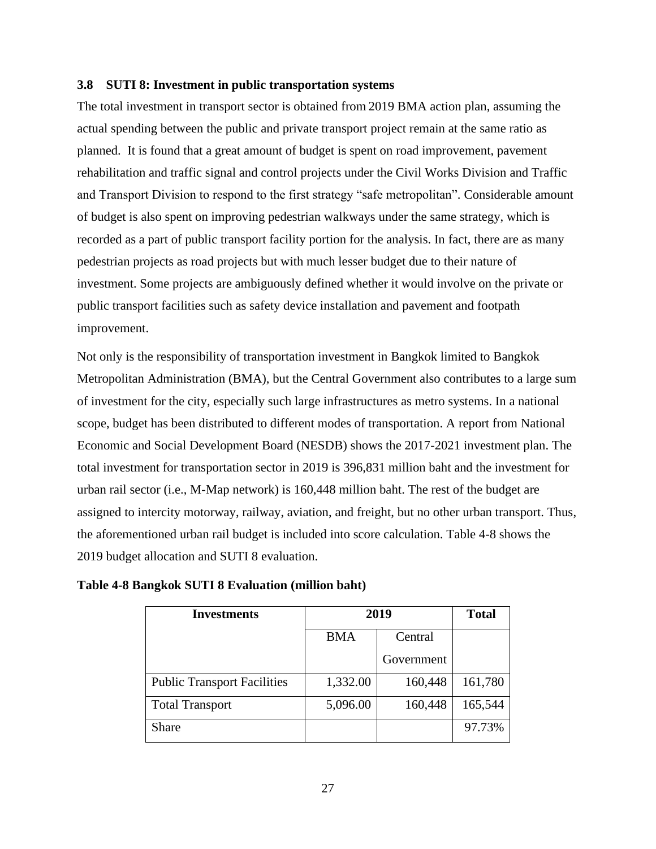#### <span id="page-29-0"></span>**3.8 SUTI 8: Investment in public transportation systems**

The total investment in transport sector is obtained from 2019 BMA action plan, assuming the actual spending between the public and private transport project remain at the same ratio as planned. It is found that a great amount of budget is spent on road improvement, pavement rehabilitation and traffic signal and control projects under the Civil Works Division and Traffic and Transport Division to respond to the first strategy "safe metropolitan". Considerable amount of budget is also spent on improving pedestrian walkways under the same strategy, which is recorded as a part of public transport facility portion for the analysis. In fact, there are as many pedestrian projects as road projects but with much lesser budget due to their nature of investment. Some projects are ambiguously defined whether it would involve on the private or public transport facilities such as safety device installation and pavement and footpath improvement.

Not only is the responsibility of transportation investment in Bangkok limited to Bangkok Metropolitan Administration (BMA), but the Central Government also contributes to a large sum of investment for the city, especially such large infrastructures as metro systems. In a national scope, budget has been distributed to different modes of transportation. A report from National Economic and Social Development Board (NESDB) shows the 2017-2021 investment plan. The total investment for transportation sector in 2019 is 396,831 million baht and the investment for urban rail sector (i.e., M-Map network) is 160,448 million baht. The rest of the budget are assigned to intercity motorway, railway, aviation, and freight, but no other urban transport. Thus, the aforementioned urban rail budget is included into score calculation. Table 4-8 shows the 2019 budget allocation and SUTI 8 evaluation.

| <b>Investments</b>                 | 2019       | <b>Total</b> |         |
|------------------------------------|------------|--------------|---------|
|                                    | <b>BMA</b> | Central      |         |
|                                    |            | Government   |         |
| <b>Public Transport Facilities</b> | 1,332.00   | 160,448      | 161,780 |
| <b>Total Transport</b>             | 5,096.00   | 160,448      | 165,544 |
| Share                              |            |              | 97.73%  |

**Table 4-8 Bangkok SUTI 8 Evaluation (million baht)**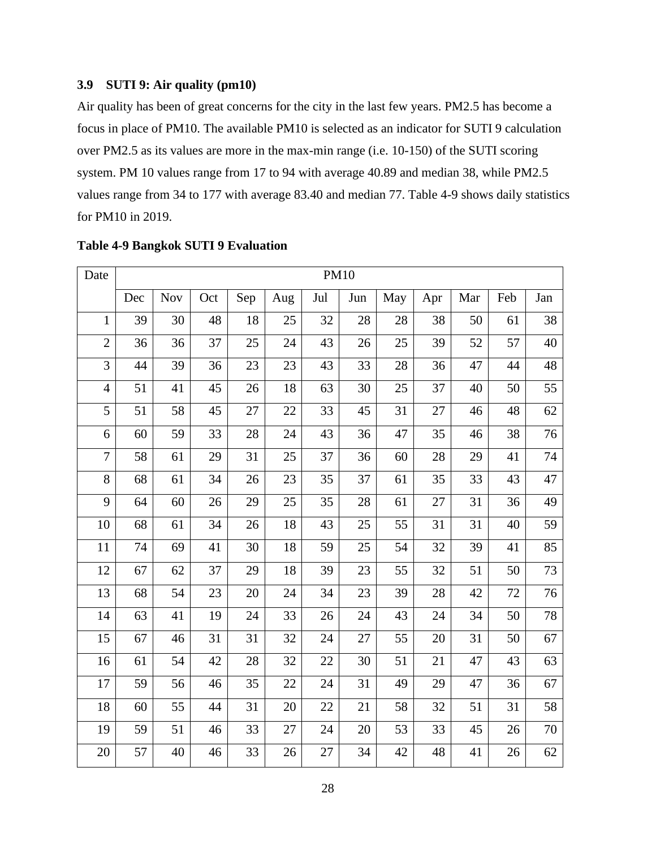# <span id="page-30-0"></span>**3.9 SUTI 9: Air quality (pm10)**

Air quality has been of great concerns for the city in the last few years. PM2.5 has become a focus in place of PM10. The available PM10 is selected as an indicator for SUTI 9 calculation over PM2.5 as its values are more in the max-min range (i.e. 10-150) of the SUTI scoring system. PM 10 values range from 17 to 94 with average 40.89 and median 38, while PM2.5 values range from 34 to 177 with average 83.40 and median 77. Table 4-9 shows daily statistics for PM10 in 2019.

| Date           | <b>PM10</b> |            |     |     |     |     |     |     |     |     |        |     |
|----------------|-------------|------------|-----|-----|-----|-----|-----|-----|-----|-----|--------|-----|
|                | Dec         | <b>Nov</b> | Oct | Sep | Aug | Jul | Jun | May | Apr | Mar | Feb    | Jan |
| $\mathbf{1}$   | 39          | 30         | 48  | 18  | 25  | 32  | 28  | 28  | 38  | 50  | 61     | 38  |
| $\mathbf{2}$   | 36          | 36         | 37  | 25  | 24  | 43  | 26  | 25  | 39  | 52  | 57     | 40  |
| 3              | 44          | 39         | 36  | 23  | 23  | 43  | 33  | 28  | 36  | 47  | 44     | 48  |
| $\overline{4}$ | 51          | 41         | 45  | 26  | 18  | 63  | 30  | 25  | 37  | 40  | 50     | 55  |
| 5              | 51          | 58         | 45  | 27  | 22  | 33  | 45  | 31  | 27  | 46  | 48     | 62  |
| 6              | 60          | 59         | 33  | 28  | 24  | 43  | 36  | 47  | 35  | 46  | 38     | 76  |
| $\overline{7}$ | 58          | 61         | 29  | 31  | 25  | 37  | 36  | 60  | 28  | 29  | 41     | 74  |
| 8              | 68          | 61         | 34  | 26  | 23  | 35  | 37  | 61  | 35  | 33  | 43     | 47  |
| 9              | 64          | 60         | 26  | 29  | 25  | 35  | 28  | 61  | 27  | 31  | 36     | 49  |
| 10             | 68          | 61         | 34  | 26  | 18  | 43  | 25  | 55  | 31  | 31  | 40     | 59  |
| 11             | 74          | 69         | 41  | 30  | 18  | 59  | 25  | 54  | 32  | 39  | 41     | 85  |
| 12             | 67          | 62         | 37  | 29  | 18  | 39  | 23  | 55  | 32  | 51  | 50     | 73  |
| 13             | 68          | 54         | 23  | 20  | 24  | 34  | 23  | 39  | 28  | 42  | 72     | 76  |
| 14             | 63          | 41         | 19  | 24  | 33  | 26  | 24  | 43  | 24  | 34  | 50     | 78  |
| 15             | 67          | 46         | 31  | 31  | 32  | 24  | 27  | 55  | 20  | 31  | 50     | 67  |
| 16             | 61          | 54         | 42  | 28  | 32  | 22  | 30  | 51  | 21  | 47  | 43     | 63  |
| 17             | 59          | 56         | 46  | 35  | 22  | 24  | 31  | 49  | 29  | 47  | 36     | 67  |
| 18             | 60          | 55         | 44  | 31  | 20  | 22  | 21  | 58  | 32  | 51  | 31     | 58  |
| 19             | 59          | 51         | 46  | 33  | 27  | 24  | 20  | 53  | 33  | 45  | $26\,$ | 70  |
| 20             | 57          | 40         | 46  | 33  | 26  | 27  | 34  | 42  | 48  | 41  | 26     | 62  |

# **Table 4-9 Bangkok SUTI 9 Evaluation**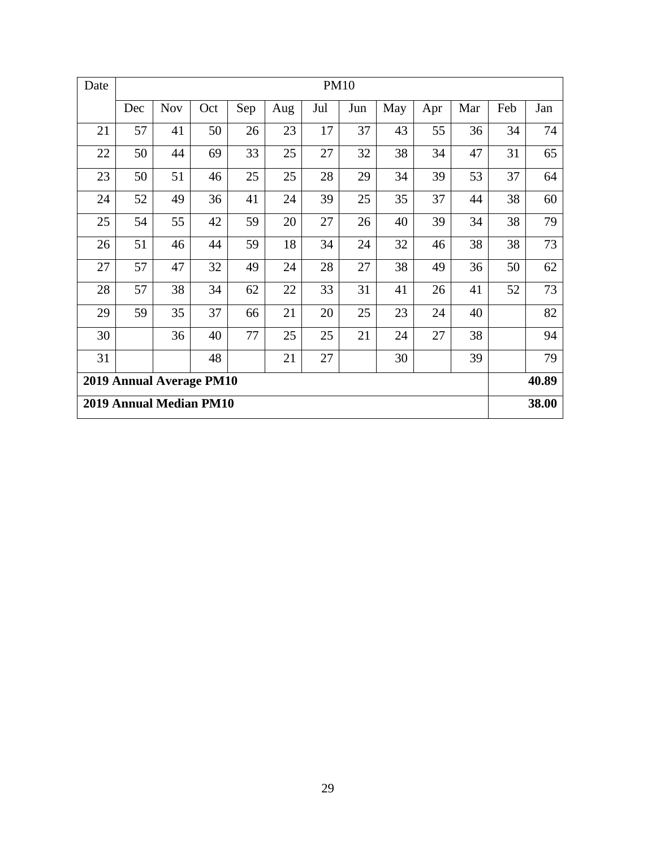| Date                     | <b>PM10</b> |            |     |     |     |     |     |       |     |     |     |     |
|--------------------------|-------------|------------|-----|-----|-----|-----|-----|-------|-----|-----|-----|-----|
|                          | Dec         | <b>Nov</b> | Oct | Sep | Aug | Jul | Jun | May   | Apr | Mar | Feb | Jan |
| 21                       | 57          | 41         | 50  | 26  | 23  | 17  | 37  | 43    | 55  | 36  | 34  | 74  |
| 22                       | 50          | 44         | 69  | 33  | 25  | 27  | 32  | 38    | 34  | 47  | 31  | 65  |
| 23                       | 50          | 51         | 46  | 25  | 25  | 28  | 29  | 34    | 39  | 53  | 37  | 64  |
| 24                       | 52          | 49         | 36  | 41  | 24  | 39  | 25  | 35    | 37  | 44  | 38  | 60  |
| 25                       | 54          | 55         | 42  | 59  | 20  | 27  | 26  | 40    | 39  | 34  | 38  | 79  |
| 26                       | 51          | 46         | 44  | 59  | 18  | 34  | 24  | 32    | 46  | 38  | 38  | 73  |
| 27                       | 57          | 47         | 32  | 49  | 24  | 28  | 27  | 38    | 49  | 36  | 50  | 62  |
| 28                       | 57          | 38         | 34  | 62  | 22  | 33  | 31  | 41    | 26  | 41  | 52  | 73  |
| 29                       | 59          | 35         | 37  | 66  | 21  | 20  | 25  | 23    | 24  | 40  |     | 82  |
| 30                       |             | 36         | 40  | 77  | 25  | 25  | 21  | 24    | 27  | 38  |     | 94  |
| 31                       |             |            | 48  |     | 21  | 27  |     | 30    |     | 39  |     | 79  |
| 2019 Annual Average PM10 |             |            |     |     |     |     |     | 40.89 |     |     |     |     |
| 2019 Annual Median PM10  |             |            |     |     |     |     |     | 38.00 |     |     |     |     |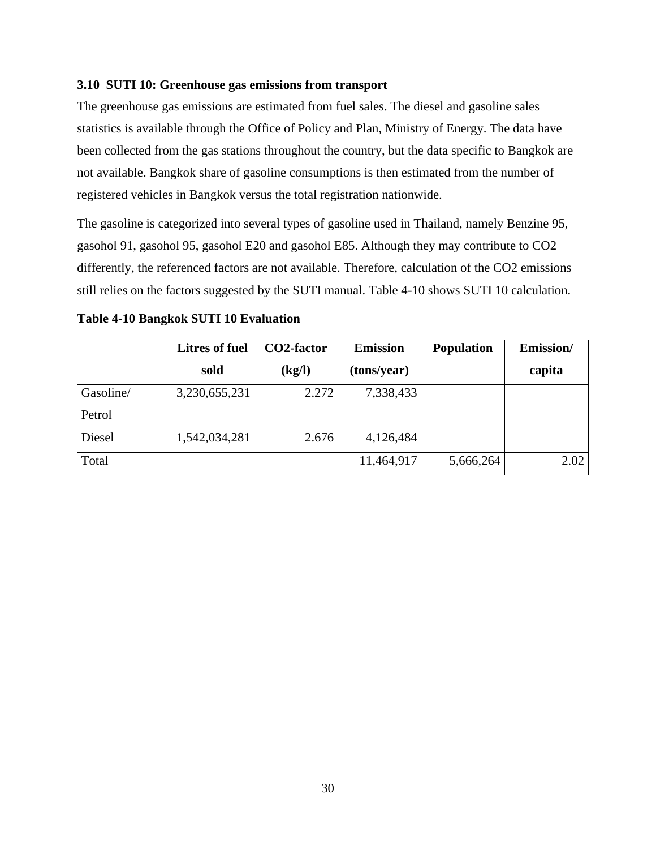# <span id="page-32-0"></span>**3.10 SUTI 10: Greenhouse gas emissions from transport**

The greenhouse gas emissions are estimated from fuel sales. The diesel and gasoline sales statistics is available through the Office of Policy and Plan, Ministry of Energy. The data have been collected from the gas stations throughout the country, but the data specific to Bangkok are not available. Bangkok share of gasoline consumptions is then estimated from the number of registered vehicles in Bangkok versus the total registration nationwide.

The gasoline is categorized into several types of gasoline used in Thailand, namely Benzine 95, gasohol 91, gasohol 95, gasohol E20 and gasohol E85. Although they may contribute to CO2 differently, the referenced factors are not available. Therefore, calculation of the CO2 emissions still relies on the factors suggested by the SUTI manual. Table 4-10 shows SUTI 10 calculation.

|           | <b>Litres of fuel</b> | CO2-factor | <b>Emission</b> | <b>Population</b> | Emission/ |
|-----------|-----------------------|------------|-----------------|-------------------|-----------|
|           | sold                  | (kg/l)     | (tons/year)     |                   | capita    |
| Gasoline/ | 3,230,655,231         | 2.272      | 7,338,433       |                   |           |
| Petrol    |                       |            |                 |                   |           |
| Diesel    | 1,542,034,281         | 2.676      | 4,126,484       |                   |           |
| Total     |                       |            | 11,464,917      | 5,666,264         | 2.02      |

| Table 4-10 Bangkok SUTI 10 Evaluation |  |  |
|---------------------------------------|--|--|
|---------------------------------------|--|--|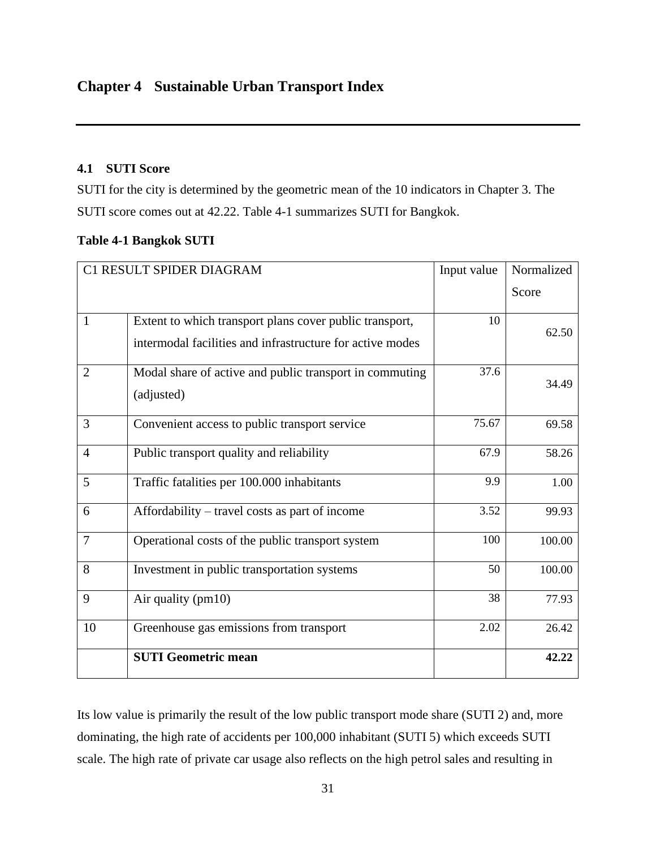# <span id="page-33-1"></span><span id="page-33-0"></span>**4.1 SUTI Score**

SUTI for the city is determined by the geometric mean of the 10 indicators in Chapter 3. The SUTI score comes out at 42.22. Table 4-1 summarizes SUTI for Bangkok.

|  |  | <b>Table 4-1 Bangkok SUTI</b> |
|--|--|-------------------------------|
|--|--|-------------------------------|

|                | C1 RESULT SPIDER DIAGRAM                                                                                             | Input value | Normalized |
|----------------|----------------------------------------------------------------------------------------------------------------------|-------------|------------|
|                |                                                                                                                      |             | Score      |
| $\mathbf{1}$   | Extent to which transport plans cover public transport,<br>intermodal facilities and infrastructure for active modes | 10          | 62.50      |
| $\overline{2}$ | Modal share of active and public transport in commuting<br>(adjusted)                                                | 37.6        | 34.49      |
| 3              | Convenient access to public transport service                                                                        | 75.67       | 69.58      |
| $\overline{4}$ | Public transport quality and reliability                                                                             | 67.9        | 58.26      |
| 5              | Traffic fatalities per 100.000 inhabitants                                                                           | 9.9         | 1.00       |
| 6              | Affordability – travel costs as part of income                                                                       | 3.52        | 99.93      |
| $\overline{7}$ | Operational costs of the public transport system                                                                     | 100         | 100.00     |
| 8              | Investment in public transportation systems                                                                          | 50          | 100.00     |
| 9              | Air quality (pm10)                                                                                                   | 38          | 77.93      |
| 10             | Greenhouse gas emissions from transport                                                                              | 2.02        | 26.42      |
|                | <b>SUTI Geometric mean</b>                                                                                           |             | 42.22      |

Its low value is primarily the result of the low public transport mode share (SUTI 2) and, more dominating, the high rate of accidents per 100,000 inhabitant (SUTI 5) which exceeds SUTI scale. The high rate of private car usage also reflects on the high petrol sales and resulting in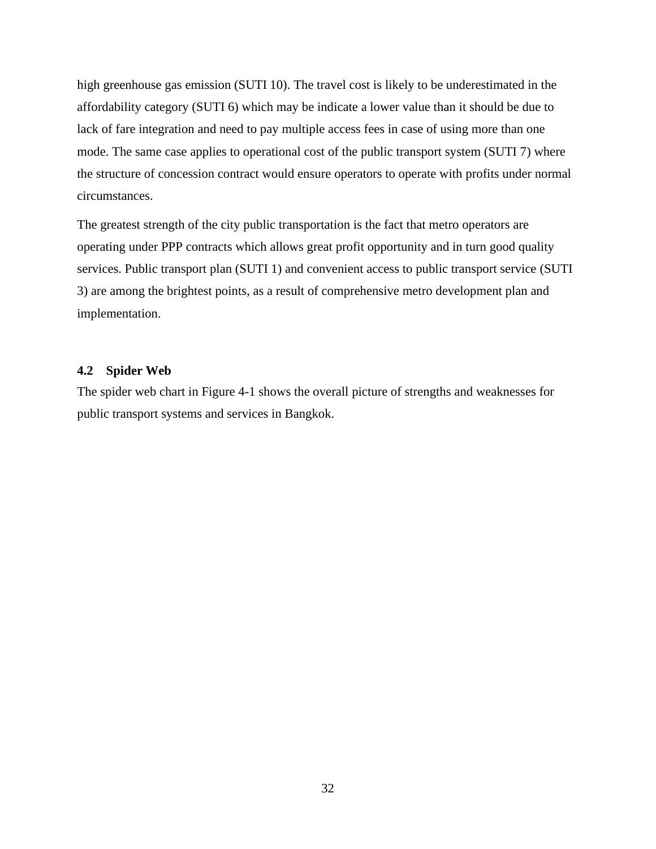high greenhouse gas emission (SUTI 10). The travel cost is likely to be underestimated in the affordability category (SUTI 6) which may be indicate a lower value than it should be due to lack of fare integration and need to pay multiple access fees in case of using more than one mode. The same case applies to operational cost of the public transport system (SUTI 7) where the structure of concession contract would ensure operators to operate with profits under normal circumstances.

The greatest strength of the city public transportation is the fact that metro operators are operating under PPP contracts which allows great profit opportunity and in turn good quality services. Public transport plan (SUTI 1) and convenient access to public transport service (SUTI 3) are among the brightest points, as a result of comprehensive metro development plan and implementation.

### <span id="page-34-0"></span>**4.2 Spider Web**

The spider web chart in Figure 4-1 shows the overall picture of strengths and weaknesses for public transport systems and services in Bangkok.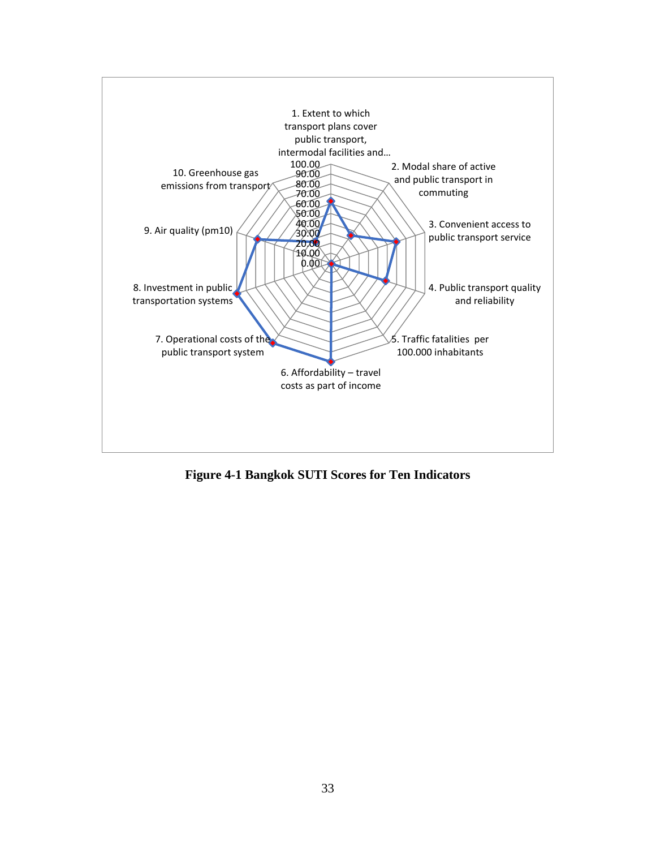

**Figure 4-1 Bangkok SUTI Scores for Ten Indicators**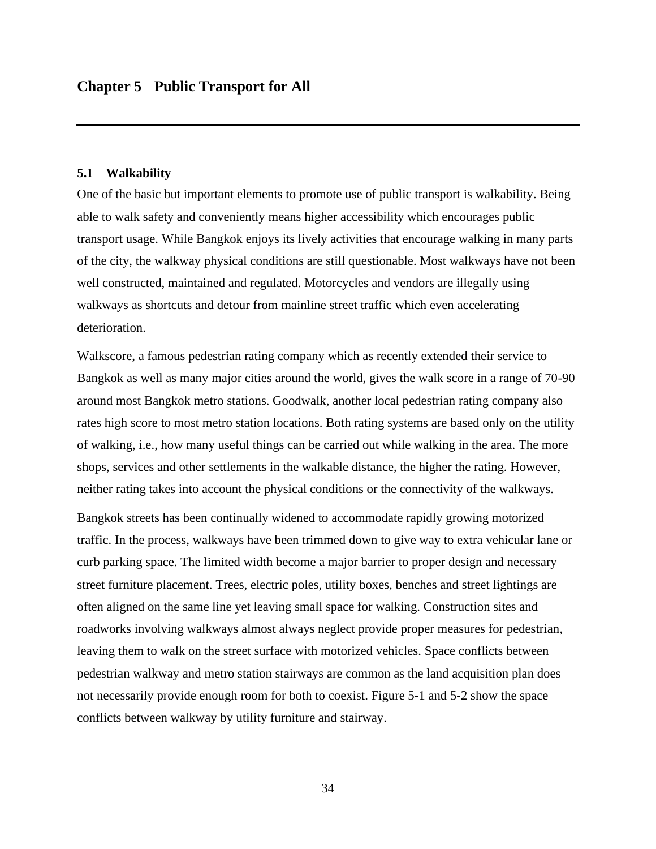#### <span id="page-36-1"></span><span id="page-36-0"></span>**5.1 Walkability**

One of the basic but important elements to promote use of public transport is walkability. Being able to walk safety and conveniently means higher accessibility which encourages public transport usage. While Bangkok enjoys its lively activities that encourage walking in many parts of the city, the walkway physical conditions are still questionable. Most walkways have not been well constructed, maintained and regulated. Motorcycles and vendors are illegally using walkways as shortcuts and detour from mainline street traffic which even accelerating deterioration.

Walkscore, a famous pedestrian rating company which as recently extended their service to Bangkok as well as many major cities around the world, gives the walk score in a range of 70-90 around most Bangkok metro stations. Goodwalk, another local pedestrian rating company also rates high score to most metro station locations. Both rating systems are based only on the utility of walking, i.e., how many useful things can be carried out while walking in the area. The more shops, services and other settlements in the walkable distance, the higher the rating. However, neither rating takes into account the physical conditions or the connectivity of the walkways.

Bangkok streets has been continually widened to accommodate rapidly growing motorized traffic. In the process, walkways have been trimmed down to give way to extra vehicular lane or curb parking space. The limited width become a major barrier to proper design and necessary street furniture placement. Trees, electric poles, utility boxes, benches and street lightings are often aligned on the same line yet leaving small space for walking. Construction sites and roadworks involving walkways almost always neglect provide proper measures for pedestrian, leaving them to walk on the street surface with motorized vehicles. Space conflicts between pedestrian walkway and metro station stairways are common as the land acquisition plan does not necessarily provide enough room for both to coexist. Figure 5-1 and 5-2 show the space conflicts between walkway by utility furniture and stairway.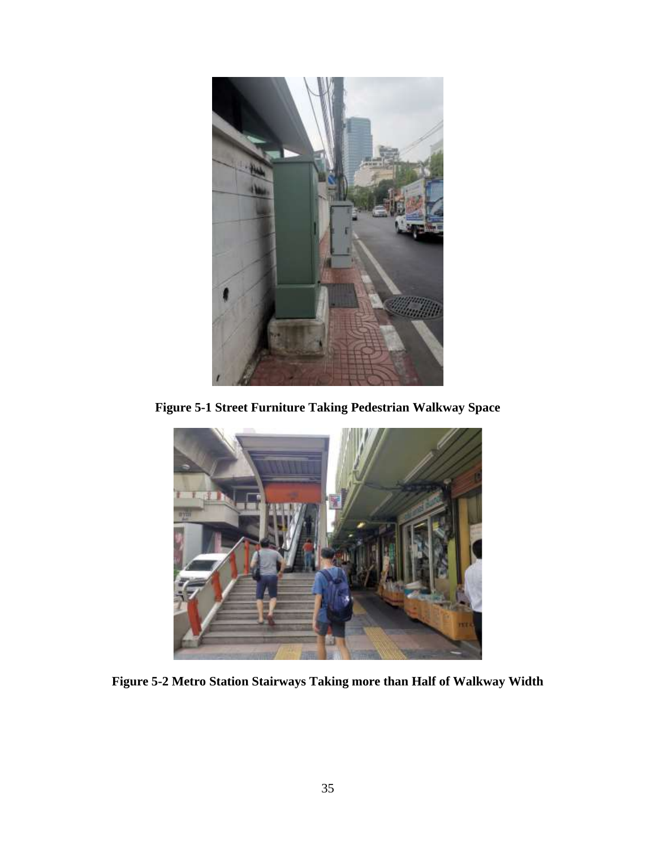

**Figure 5-1 Street Furniture Taking Pedestrian Walkway Space**



**Figure 5-2 Metro Station Stairways Taking more than Half of Walkway Width**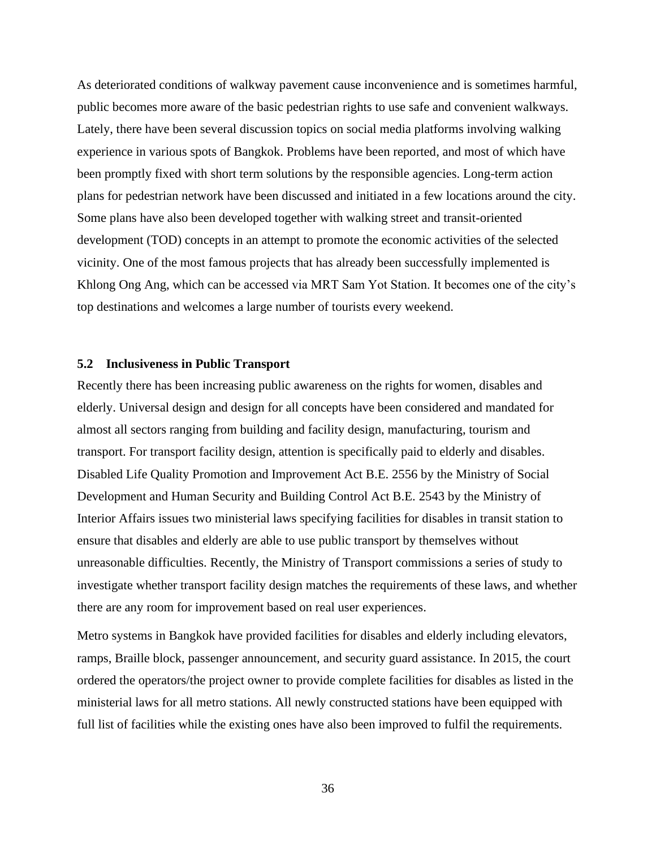As deteriorated conditions of walkway pavement cause inconvenience and is sometimes harmful, public becomes more aware of the basic pedestrian rights to use safe and convenient walkways. Lately, there have been several discussion topics on social media platforms involving walking experience in various spots of Bangkok. Problems have been reported, and most of which have been promptly fixed with short term solutions by the responsible agencies. Long-term action plans for pedestrian network have been discussed and initiated in a few locations around the city. Some plans have also been developed together with walking street and transit-oriented development (TOD) concepts in an attempt to promote the economic activities of the selected vicinity. One of the most famous projects that has already been successfully implemented is Khlong Ong Ang, which can be accessed via MRT Sam Yot Station. It becomes one of the city's top destinations and welcomes a large number of tourists every weekend.

#### <span id="page-38-0"></span>**5.2 Inclusiveness in Public Transport**

Recently there has been increasing public awareness on the rights for women, disables and elderly. Universal design and design for all concepts have been considered and mandated for almost all sectors ranging from building and facility design, manufacturing, tourism and transport. For transport facility design, attention is specifically paid to elderly and disables. Disabled Life Quality Promotion and Improvement Act B.E. 2556 by the Ministry of Social Development and Human Security and Building Control Act B.E. 2543 by the Ministry of Interior Affairs issues two ministerial laws specifying facilities for disables in transit station to ensure that disables and elderly are able to use public transport by themselves without unreasonable difficulties. Recently, the Ministry of Transport commissions a series of study to investigate whether transport facility design matches the requirements of these laws, and whether there are any room for improvement based on real user experiences.

Metro systems in Bangkok have provided facilities for disables and elderly including elevators, ramps, Braille block, passenger announcement, and security guard assistance. In 2015, the court ordered the operators/the project owner to provide complete facilities for disables as listed in the ministerial laws for all metro stations. All newly constructed stations have been equipped with full list of facilities while the existing ones have also been improved to fulfil the requirements.

36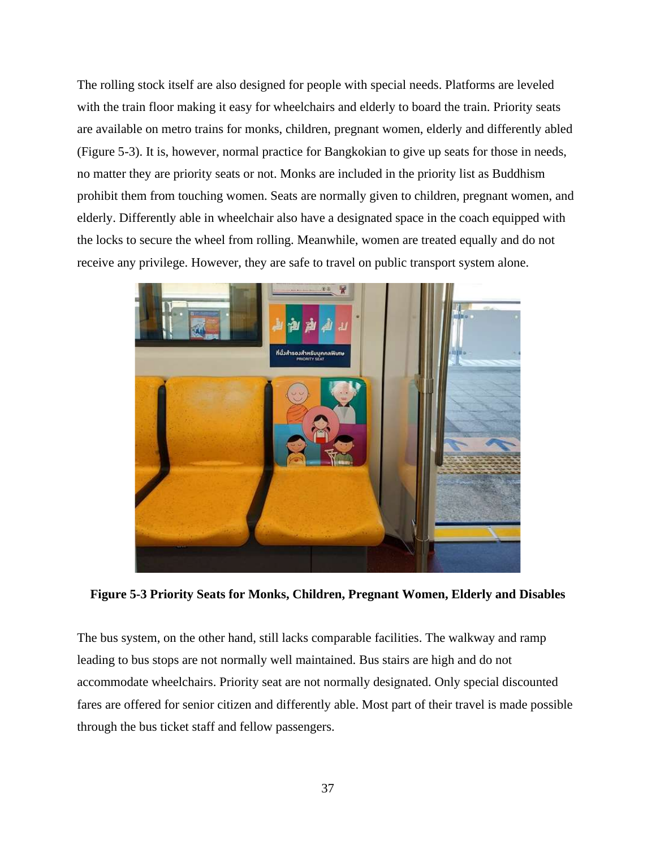The rolling stock itself are also designed for people with special needs. Platforms are leveled with the train floor making it easy for wheelchairs and elderly to board the train. Priority seats are available on metro trains for monks, children, pregnant women, elderly and differently abled (Figure 5-3). It is, however, normal practice for Bangkokian to give up seats for those in needs, no matter they are priority seats or not. Monks are included in the priority list as Buddhism prohibit them from touching women. Seats are normally given to children, pregnant women, and elderly. Differently able in wheelchair also have a designated space in the coach equipped with the locks to secure the wheel from rolling. Meanwhile, women are treated equally and do not receive any privilege. However, they are safe to travel on public transport system alone.



**Figure 5-3 Priority Seats for Monks, Children, Pregnant Women, Elderly and Disables**

The bus system, on the other hand, still lacks comparable facilities. The walkway and ramp leading to bus stops are not normally well maintained. Bus stairs are high and do not accommodate wheelchairs. Priority seat are not normally designated. Only special discounted fares are offered for senior citizen and differently able. Most part of their travel is made possible through the bus ticket staff and fellow passengers.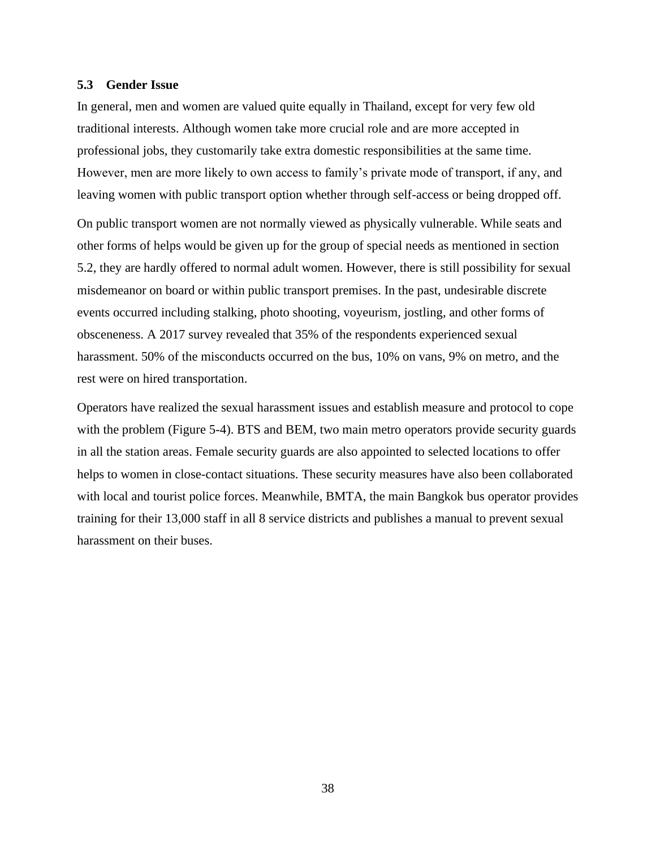### <span id="page-40-0"></span>**5.3 Gender Issue**

In general, men and women are valued quite equally in Thailand, except for very few old traditional interests. Although women take more crucial role and are more accepted in professional jobs, they customarily take extra domestic responsibilities at the same time. However, men are more likely to own access to family's private mode of transport, if any, and leaving women with public transport option whether through self-access or being dropped off.

On public transport women are not normally viewed as physically vulnerable. While seats and other forms of helps would be given up for the group of special needs as mentioned in section 5.2, they are hardly offered to normal adult women. However, there is still possibility for sexual misdemeanor on board or within public transport premises. In the past, undesirable discrete events occurred including stalking, photo shooting, voyeurism, jostling, and other forms of obsceneness. A 2017 survey revealed that 35% of the respondents experienced sexual harassment. 50% of the misconducts occurred on the bus, 10% on vans, 9% on metro, and the rest were on hired transportation.

Operators have realized the sexual harassment issues and establish measure and protocol to cope with the problem (Figure 5-4). BTS and BEM, two main metro operators provide security guards in all the station areas. Female security guards are also appointed to selected locations to offer helps to women in close-contact situations. These security measures have also been collaborated with local and tourist police forces. Meanwhile, BMTA, the main Bangkok bus operator provides training for their 13,000 staff in all 8 service districts and publishes a manual to prevent sexual harassment on their buses.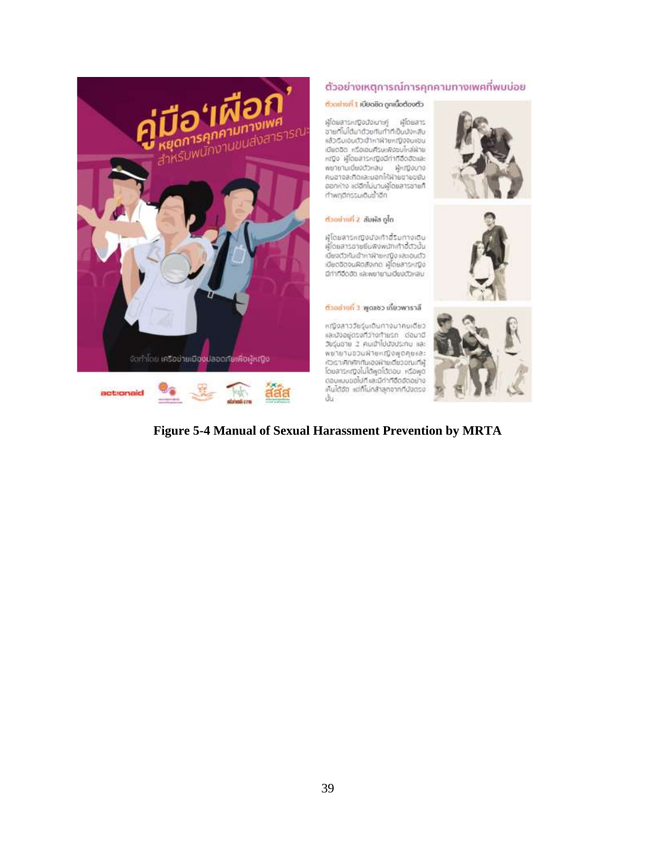

### ตัวอย่างเหตุการณ์การคุกคามทางเพศที่พบบ่อย

#### ตัวเล่าพที่ 1 เนียดชิด ถูกเนื้อต้องตัว

ម្មរិពនផាងអញ្ជើលជួលបាះគ្នា អូរ៉ុំពែនងាង งายกิโมโต้มาตัวยกันทำทีเป็นบังหลับ เข้ารับเอนตัวเข้าหาฝ่ายหญิงจนเขน เมียตอิต หรือเอนคีรษะพิวัชบโหล่ฝ่าย หญิง ผู้โดยสารหญิงมีกำกิอิตอัดและ ะและ คุณออกราชออก เด็กที่จอมา<br>คนสาจสะทิดและนอกให้ฟ่ายชายชนิง<br>ออกห่าง แต่อีกไม่มานผู้โดยสารชายที ทำพฤติกรรมเติมชั่วอีก

#### กใด ซพิเก็ 3 ที่มาของต้

ผู้โดยสารหญิงนังเท้าอี้ริยกางเดิม ผู้ใดยลารขายยืมพิงพนักเท้าอี้ตัวนั้น เดียงดัวกันเข้าหาฝ่ายหญิง และอนตัว เบียดชิดจนผิดสังเกต ผู้โดยสารหญิง มีกำทีจิดอัง และพยายามเปียงตัวหลบ

ตัวอย่างที่ 3 พูดแชว เที่ยวพาราลี

หญิงสาววัยรุ่นเดินทางมาคนเดียว โดนอยู่ตรงที่ว่างทำยรถ ต่อมานี วัยรุ่นชาย 2 คนเข้าไปบังประทบ และ พยายามขวนผ้ายหญิงพูดคุยสละ หัวเราะศึกศักท์นเองพำยเดียวยณะที่ผู้ โดยลารหญิงไม่ได้พูดใต้ตอบ หรือพุด ตอนแบบขอไปที่และมีกำก็อื่ออัตอย่าง เห็นได้อัด แต่ก็ไม่กล้าลูกจากที่มังตรง άu







# **Figure 5-4 Manual of Sexual Harassment Prevention by MRTA**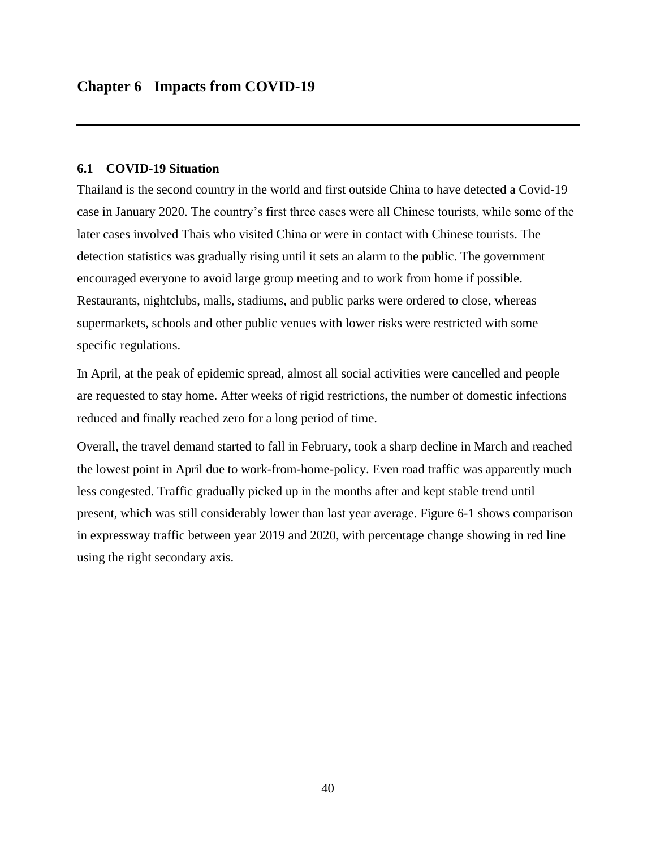# <span id="page-42-1"></span><span id="page-42-0"></span>**6.1 COVID-19 Situation**

Thailand is the second country in the world and first outside China to have detected a Covid-19 case in January 2020. The country's first three cases were all Chinese tourists, while some of the later cases involved Thais who visited China or were in contact with Chinese tourists. The detection statistics was gradually rising until it sets an alarm to the public. The government encouraged everyone to avoid large group meeting and to work from home if possible. Restaurants, nightclubs, malls, stadiums, and public parks were ordered to close, whereas supermarkets, schools and other public venues with lower risks were restricted with some specific regulations.

In April, at the peak of epidemic spread, almost all social activities were cancelled and people are requested to stay home. After weeks of rigid restrictions, the number of domestic infections reduced and finally reached zero for a long period of time.

Overall, the travel demand started to fall in February, took a sharp decline in March and reached the lowest point in April due to work-from-home-policy. Even road traffic was apparently much less congested. Traffic gradually picked up in the months after and kept stable trend until present, which was still considerably lower than last year average. Figure 6-1 shows comparison in expressway traffic between year 2019 and 2020, with percentage change showing in red line using the right secondary axis.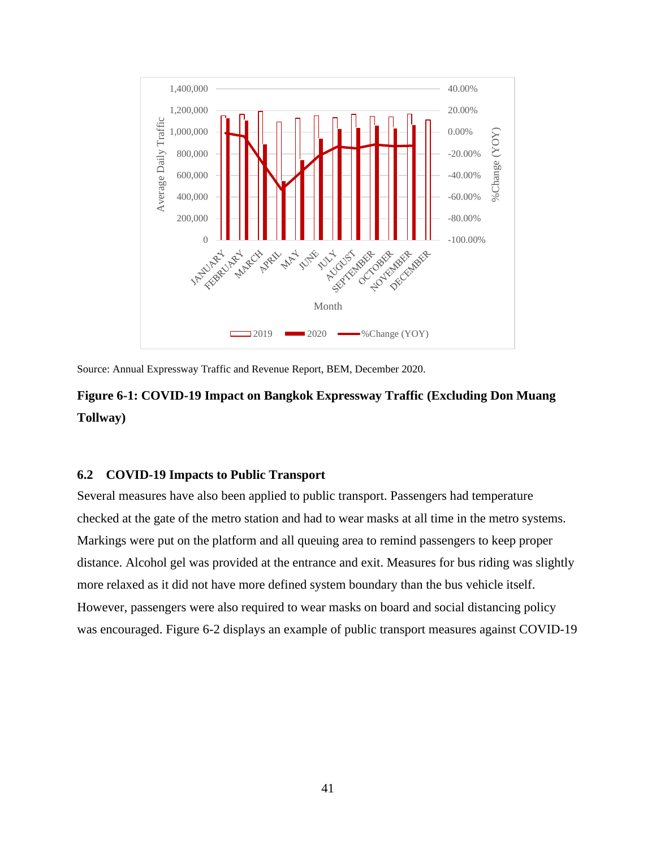

Source: Annual Expressway Traffic and Revenue Report, BEM, December 2020.

# **Figure 6-1: COVID-19 Impact on Bangkok Expressway Traffic (Excluding Don Muang Tollway)**

# <span id="page-43-0"></span>**6.2 COVID-19 Impacts to Public Transport**

Several measures have also been applied to public transport. Passengers had temperature checked at the gate of the metro station and had to wear masks at all time in the metro systems. Markings were put on the platform and all queuing area to remind passengers to keep proper distance. Alcohol gel was provided at the entrance and exit. Measures for bus riding was slightly more relaxed as it did not have more defined system boundary than the bus vehicle itself. However, passengers were also required to wear masks on board and social distancing policy was encouraged. Figure 6-2 displays an example of public transport measures against COVID-19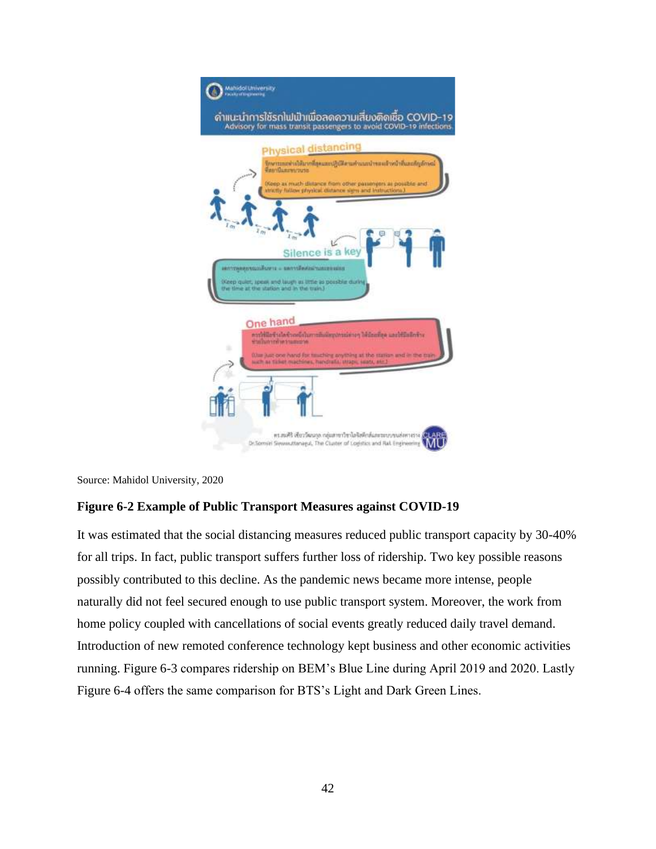

Source: Mahidol University, 2020

# **Figure 6-2 Example of Public Transport Measures against COVID-19**

It was estimated that the social distancing measures reduced public transport capacity by 30-40% for all trips. In fact, public transport suffers further loss of ridership. Two key possible reasons possibly contributed to this decline. As the pandemic news became more intense, people naturally did not feel secured enough to use public transport system. Moreover, the work from home policy coupled with cancellations of social events greatly reduced daily travel demand. Introduction of new remoted conference technology kept business and other economic activities running. Figure 6-3 compares ridership on BEM's Blue Line during April 2019 and 2020. Lastly Figure 6-4 offers the same comparison for BTS's Light and Dark Green Lines.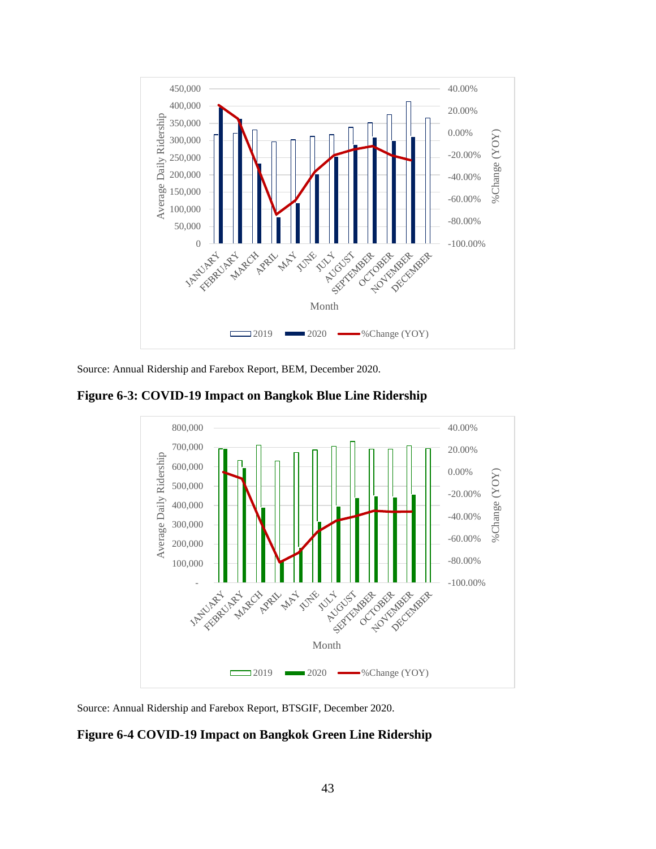

Source: Annual Ridership and Farebox Report, BEM, December 2020.

**Figure 6-3: COVID-19 Impact on Bangkok Blue Line Ridership**



Source: Annual Ridership and Farebox Report, BTSGIF, December 2020.

### **Figure 6-4 COVID-19 Impact on Bangkok Green Line Ridership**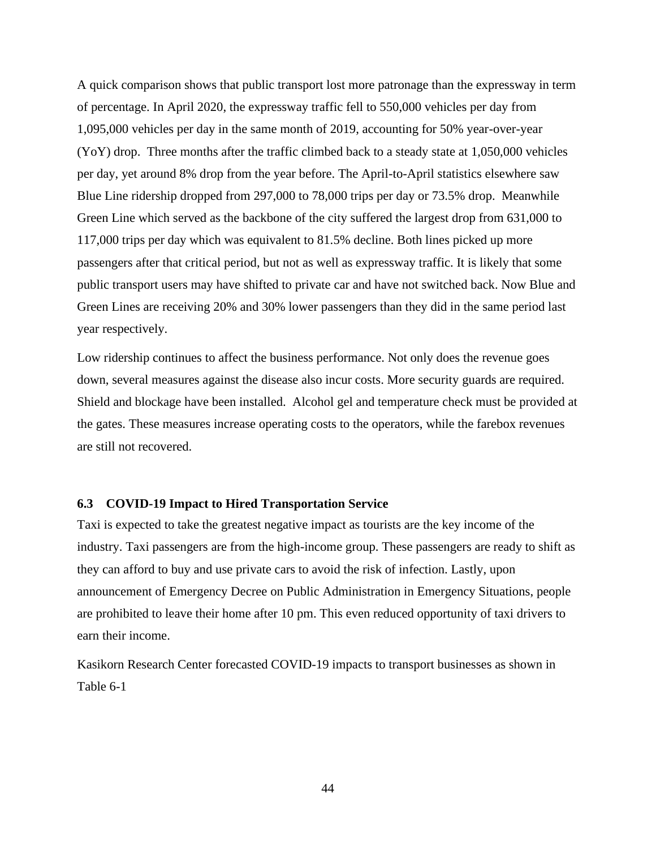A quick comparison shows that public transport lost more patronage than the expressway in term of percentage. In April 2020, the expressway traffic fell to 550,000 vehicles per day from 1,095,000 vehicles per day in the same month of 2019, accounting for 50% year-over-year (YoY) drop. Three months after the traffic climbed back to a steady state at 1,050,000 vehicles per day, yet around 8% drop from the year before. The April-to-April statistics elsewhere saw Blue Line ridership dropped from 297,000 to 78,000 trips per day or 73.5% drop. Meanwhile Green Line which served as the backbone of the city suffered the largest drop from 631,000 to 117,000 trips per day which was equivalent to 81.5% decline. Both lines picked up more passengers after that critical period, but not as well as expressway traffic. It is likely that some public transport users may have shifted to private car and have not switched back. Now Blue and Green Lines are receiving 20% and 30% lower passengers than they did in the same period last year respectively.

Low ridership continues to affect the business performance. Not only does the revenue goes down, several measures against the disease also incur costs. More security guards are required. Shield and blockage have been installed. Alcohol gel and temperature check must be provided at the gates. These measures increase operating costs to the operators, while the farebox revenues are still not recovered.

#### <span id="page-46-0"></span>**6.3 COVID-19 Impact to Hired Transportation Service**

Taxi is expected to take the greatest negative impact as tourists are the key income of the industry. Taxi passengers are from the high-income group. These passengers are ready to shift as they can afford to buy and use private cars to avoid the risk of infection. Lastly, upon announcement of Emergency Decree on Public Administration in Emergency Situations, people are prohibited to leave their home after 10 pm. This even reduced opportunity of taxi drivers to earn their income.

Kasikorn Research Center forecasted COVID-19 impacts to transport businesses as shown in Table 6-1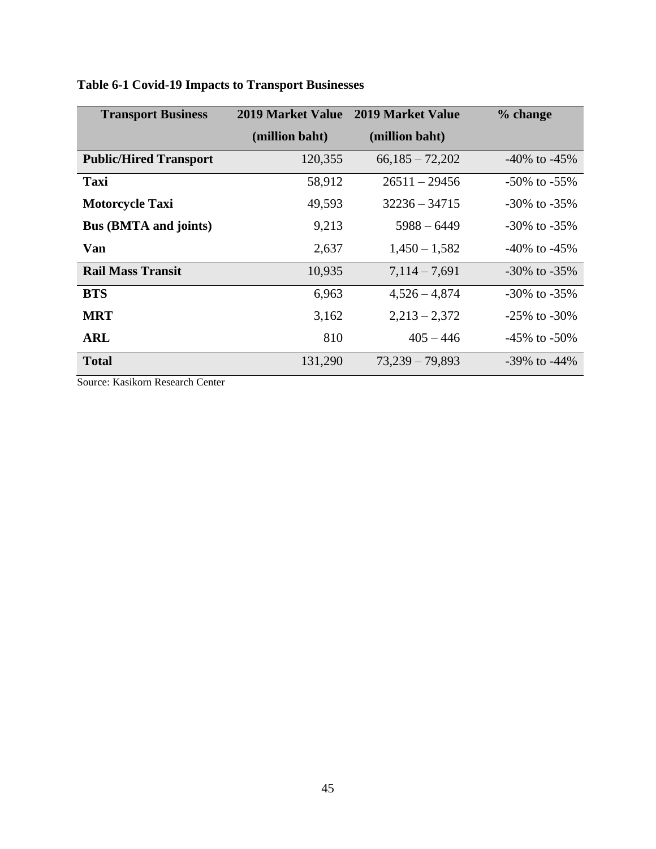| <b>Transport Business</b>     | <b>2019 Market Value</b> | <b>2019 Market Value</b> | % change           |
|-------------------------------|--------------------------|--------------------------|--------------------|
|                               | (million baht)           | (million baht)           |                    |
| <b>Public/Hired Transport</b> | 120,355                  | $66,185 - 72,202$        | $-40\%$ to $-45\%$ |
| Taxi                          | 58,912                   | $26511 - 29456$          | $-50\%$ to $-55\%$ |
| <b>Motorcycle Taxi</b>        | 49,593                   | $32236 - 34715$          | $-30\%$ to $-35\%$ |
| <b>Bus (BMTA and joints)</b>  | 9,213                    | $5988 - 6449$            | $-30\%$ to $-35\%$ |
| Van                           | 2,637                    | $1,450 - 1,582$          | $-40\%$ to $-45\%$ |
| <b>Rail Mass Transit</b>      | 10,935                   | $7,114 - 7,691$          | $-30\%$ to $-35\%$ |
| <b>BTS</b>                    | 6,963                    | $4,526 - 4,874$          | $-30\%$ to $-35\%$ |
| <b>MRT</b>                    | 3,162                    | $2,213 - 2,372$          | $-25\%$ to $-30\%$ |
| <b>ARL</b>                    | 810                      | $405 - 446$              | $-45\%$ to $-50\%$ |
| <b>Total</b>                  | 131,290                  | $73,239 - 79,893$        | $-39\%$ to $-44\%$ |

# **Table 6-1 Covid-19 Impacts to Transport Businesses**

Source: Kasikorn Research Center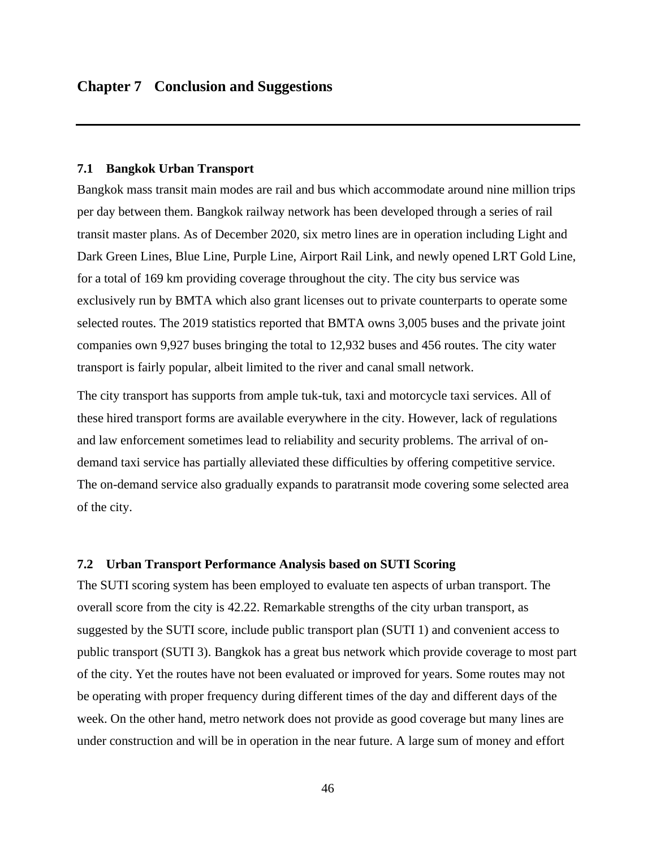#### <span id="page-48-1"></span><span id="page-48-0"></span>**7.1 Bangkok Urban Transport**

Bangkok mass transit main modes are rail and bus which accommodate around nine million trips per day between them. Bangkok railway network has been developed through a series of rail transit master plans. As of December 2020, six metro lines are in operation including Light and Dark Green Lines, Blue Line, Purple Line, Airport Rail Link, and newly opened LRT Gold Line, for a total of 169 km providing coverage throughout the city. The city bus service was exclusively run by BMTA which also grant licenses out to private counterparts to operate some selected routes. The 2019 statistics reported that BMTA owns 3,005 buses and the private joint companies own 9,927 buses bringing the total to 12,932 buses and 456 routes. The city water transport is fairly popular, albeit limited to the river and canal small network.

The city transport has supports from ample tuk-tuk, taxi and motorcycle taxi services. All of these hired transport forms are available everywhere in the city. However, lack of regulations and law enforcement sometimes lead to reliability and security problems. The arrival of ondemand taxi service has partially alleviated these difficulties by offering competitive service. The on-demand service also gradually expands to paratransit mode covering some selected area of the city.

#### <span id="page-48-2"></span>**7.2 Urban Transport Performance Analysis based on SUTI Scoring**

The SUTI scoring system has been employed to evaluate ten aspects of urban transport. The overall score from the city is 42.22. Remarkable strengths of the city urban transport, as suggested by the SUTI score, include public transport plan (SUTI 1) and convenient access to public transport (SUTI 3). Bangkok has a great bus network which provide coverage to most part of the city. Yet the routes have not been evaluated or improved for years. Some routes may not be operating with proper frequency during different times of the day and different days of the week. On the other hand, metro network does not provide as good coverage but many lines are under construction and will be in operation in the near future. A large sum of money and effort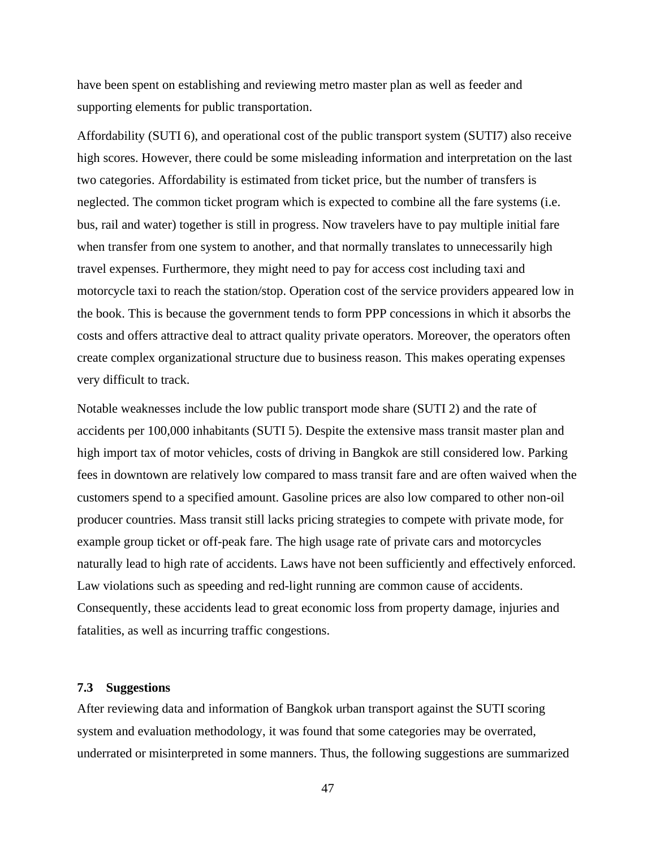have been spent on establishing and reviewing metro master plan as well as feeder and supporting elements for public transportation.

Affordability (SUTI 6), and operational cost of the public transport system (SUTI7) also receive high scores. However, there could be some misleading information and interpretation on the last two categories. Affordability is estimated from ticket price, but the number of transfers is neglected. The common ticket program which is expected to combine all the fare systems (i.e. bus, rail and water) together is still in progress. Now travelers have to pay multiple initial fare when transfer from one system to another, and that normally translates to unnecessarily high travel expenses. Furthermore, they might need to pay for access cost including taxi and motorcycle taxi to reach the station/stop. Operation cost of the service providers appeared low in the book. This is because the government tends to form PPP concessions in which it absorbs the costs and offers attractive deal to attract quality private operators. Moreover, the operators often create complex organizational structure due to business reason. This makes operating expenses very difficult to track.

Notable weaknesses include the low public transport mode share (SUTI 2) and the rate of accidents per 100,000 inhabitants (SUTI 5). Despite the extensive mass transit master plan and high import tax of motor vehicles, costs of driving in Bangkok are still considered low. Parking fees in downtown are relatively low compared to mass transit fare and are often waived when the customers spend to a specified amount. Gasoline prices are also low compared to other non-oil producer countries. Mass transit still lacks pricing strategies to compete with private mode, for example group ticket or off-peak fare. The high usage rate of private cars and motorcycles naturally lead to high rate of accidents. Laws have not been sufficiently and effectively enforced. Law violations such as speeding and red-light running are common cause of accidents. Consequently, these accidents lead to great economic loss from property damage, injuries and fatalities, as well as incurring traffic congestions.

#### <span id="page-49-0"></span>**7.3 Suggestions**

After reviewing data and information of Bangkok urban transport against the SUTI scoring system and evaluation methodology, it was found that some categories may be overrated, underrated or misinterpreted in some manners. Thus, the following suggestions are summarized

47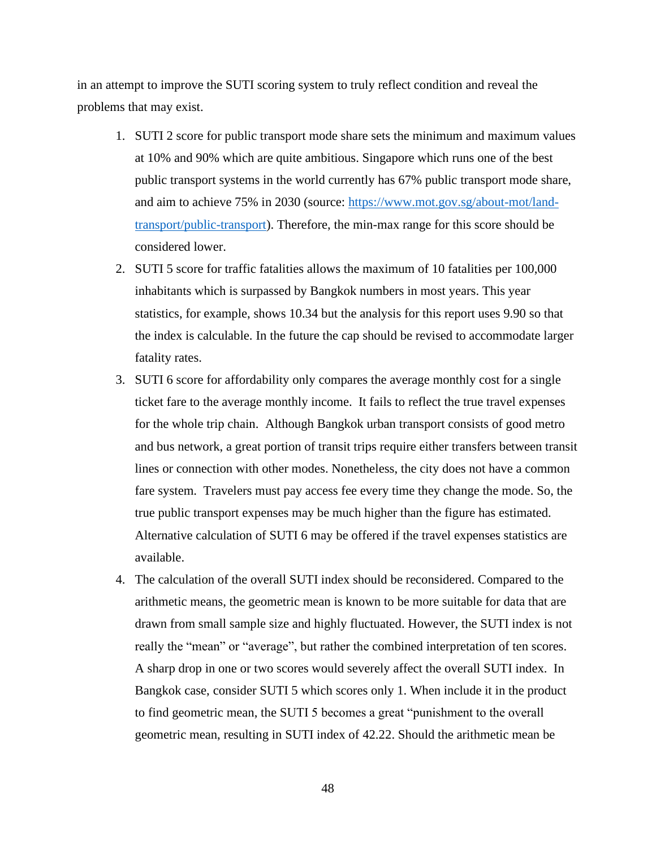in an attempt to improve the SUTI scoring system to truly reflect condition and reveal the problems that may exist.

- 1. SUTI 2 score for public transport mode share sets the minimum and maximum values at 10% and 90% which are quite ambitious. Singapore which runs one of the best public transport systems in the world currently has 67% public transport mode share, and aim to achieve 75% in 2030 (source: [https://www.mot.gov.sg/about-mot/land](https://www.mot.gov.sg/about-mot/land-transport/public-transport)[transport/public-transport\)](https://www.mot.gov.sg/about-mot/land-transport/public-transport). Therefore, the min-max range for this score should be considered lower.
- 2. SUTI 5 score for traffic fatalities allows the maximum of 10 fatalities per 100,000 inhabitants which is surpassed by Bangkok numbers in most years. This year statistics, for example, shows 10.34 but the analysis for this report uses 9.90 so that the index is calculable. In the future the cap should be revised to accommodate larger fatality rates.
- 3. SUTI 6 score for affordability only compares the average monthly cost for a single ticket fare to the average monthly income. It fails to reflect the true travel expenses for the whole trip chain. Although Bangkok urban transport consists of good metro and bus network, a great portion of transit trips require either transfers between transit lines or connection with other modes. Nonetheless, the city does not have a common fare system. Travelers must pay access fee every time they change the mode. So, the true public transport expenses may be much higher than the figure has estimated. Alternative calculation of SUTI 6 may be offered if the travel expenses statistics are available.
- 4. The calculation of the overall SUTI index should be reconsidered. Compared to the arithmetic means, the geometric mean is known to be more suitable for data that are drawn from small sample size and highly fluctuated. However, the SUTI index is not really the "mean" or "average", but rather the combined interpretation of ten scores. A sharp drop in one or two scores would severely affect the overall SUTI index. In Bangkok case, consider SUTI 5 which scores only 1. When include it in the product to find geometric mean, the SUTI 5 becomes a great "punishment to the overall geometric mean, resulting in SUTI index of 42.22. Should the arithmetic mean be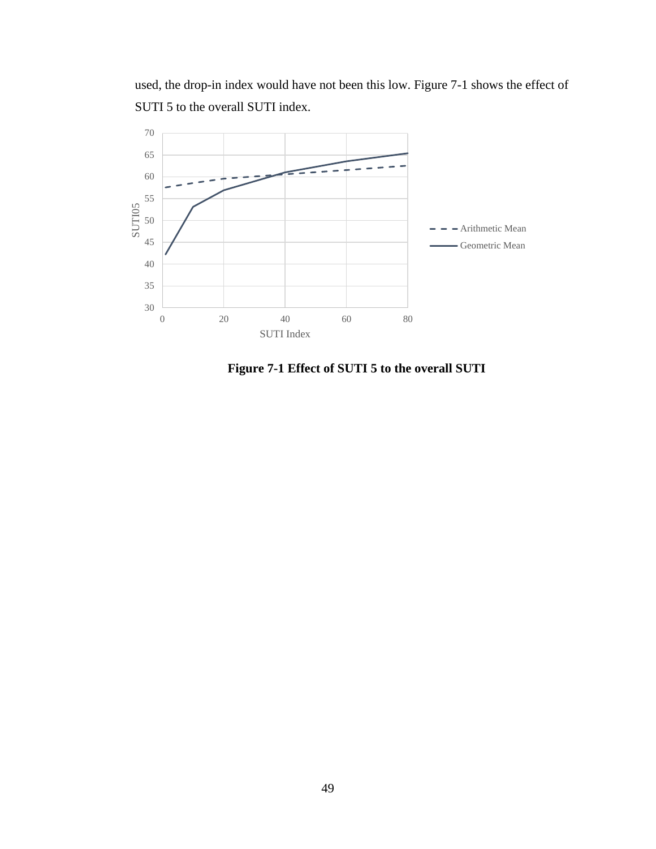used, the drop-in index would have not been this low. Figure 7-1 shows the effect of SUTI 5 to the overall SUTI index.



**Figure 7-1 Effect of SUTI 5 to the overall SUTI**